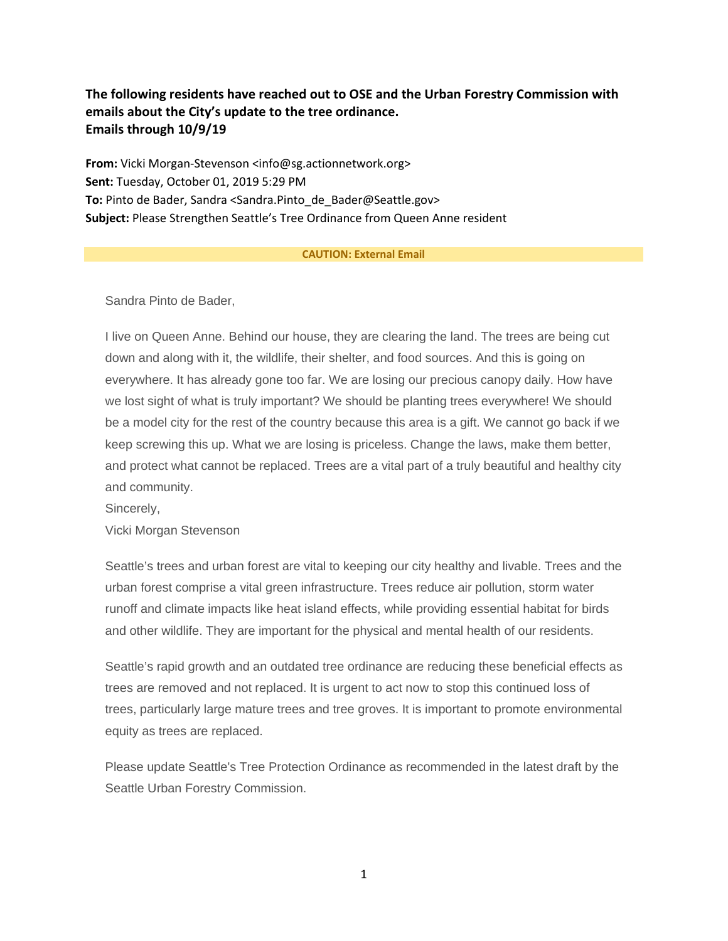# **The following residents have reached out to OSE and the Urban Forestry Commission with emails about the City's update to the tree ordinance. Emails through 10/9/19**

**From:** Vicki Morgan-Stevenson <info@sg.actionnetwork.org> **Sent:** Tuesday, October 01, 2019 5:29 PM **To:** Pinto de Bader, Sandra <Sandra.Pinto de Bader@Seattle.gov> **Subject:** Please Strengthen Seattle's Tree Ordinance from Queen Anne resident

#### **CAUTION: External Email**

Sandra Pinto de Bader,

I live on Queen Anne. Behind our house, they are clearing the land. The trees are being cut down and along with it, the wildlife, their shelter, and food sources. And this is going on everywhere. It has already gone too far. We are losing our precious canopy daily. How have we lost sight of what is truly important? We should be planting trees everywhere! We should be a model city for the rest of the country because this area is a gift. We cannot go back if we keep screwing this up. What we are losing is priceless. Change the laws, make them better, and protect what cannot be replaced. Trees are a vital part of a truly beautiful and healthy city and community.

Sincerely,

Vicki Morgan Stevenson

Seattle's trees and urban forest are vital to keeping our city healthy and livable. Trees and the urban forest comprise a vital green infrastructure. Trees reduce air pollution, storm water runoff and climate impacts like heat island effects, while providing essential habitat for birds and other wildlife. They are important for the physical and mental health of our residents.

Seattle's rapid growth and an outdated tree ordinance are reducing these beneficial effects as trees are removed and not replaced. It is urgent to act now to stop this continued loss of trees, particularly large mature trees and tree groves. It is important to promote environmental equity as trees are replaced.

Please update Seattle's Tree Protection Ordinance as recommended in the latest draft by the Seattle Urban Forestry Commission.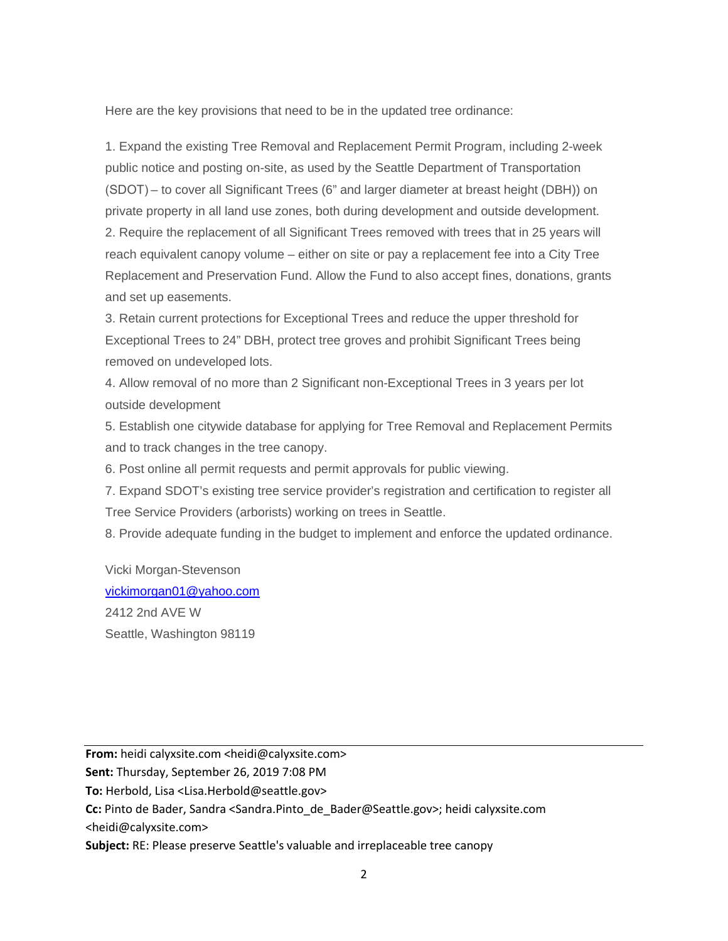Here are the key provisions that need to be in the updated tree ordinance:

1. Expand the existing Tree Removal and Replacement Permit Program, including 2-week public notice and posting on-site, as used by the Seattle Department of Transportation (SDOT) – to cover all Significant Trees (6" and larger diameter at breast height (DBH)) on private property in all land use zones, both during development and outside development. 2. Require the replacement of all Significant Trees removed with trees that in 25 years will reach equivalent canopy volume – either on site or pay a replacement fee into a City Tree Replacement and Preservation Fund. Allow the Fund to also accept fines, donations, grants and set up easements.

3. Retain current protections for Exceptional Trees and reduce the upper threshold for Exceptional Trees to 24" DBH, protect tree groves and prohibit Significant Trees being removed on undeveloped lots.

4. Allow removal of no more than 2 Significant non-Exceptional Trees in 3 years per lot outside development

5. Establish one citywide database for applying for Tree Removal and Replacement Permits and to track changes in the tree canopy.

6. Post online all permit requests and permit approvals for public viewing.

7. Expand SDOT's existing tree service provider's registration and certification to register all Tree Service Providers (arborists) working on trees in Seattle.

8. Provide adequate funding in the budget to implement and enforce the updated ordinance.

Vicki Morgan-Stevenson [vickimorgan01@yahoo.com](mailto:vickimorgan01@yahoo.com) 2412 2nd AVE W Seattle, Washington 98119

**From:** heidi calyxsite.com <heidi@calyxsite.com>

**Sent:** Thursday, September 26, 2019 7:08 PM

**To:** Herbold, Lisa <Lisa.Herbold@seattle.gov>

**Cc:** Pinto de Bader, Sandra <Sandra.Pinto\_de\_Bader@Seattle.gov>; heidi calyxsite.com <heidi@calyxsite.com>

**Subject:** RE: Please preserve Seattle's valuable and irreplaceable tree canopy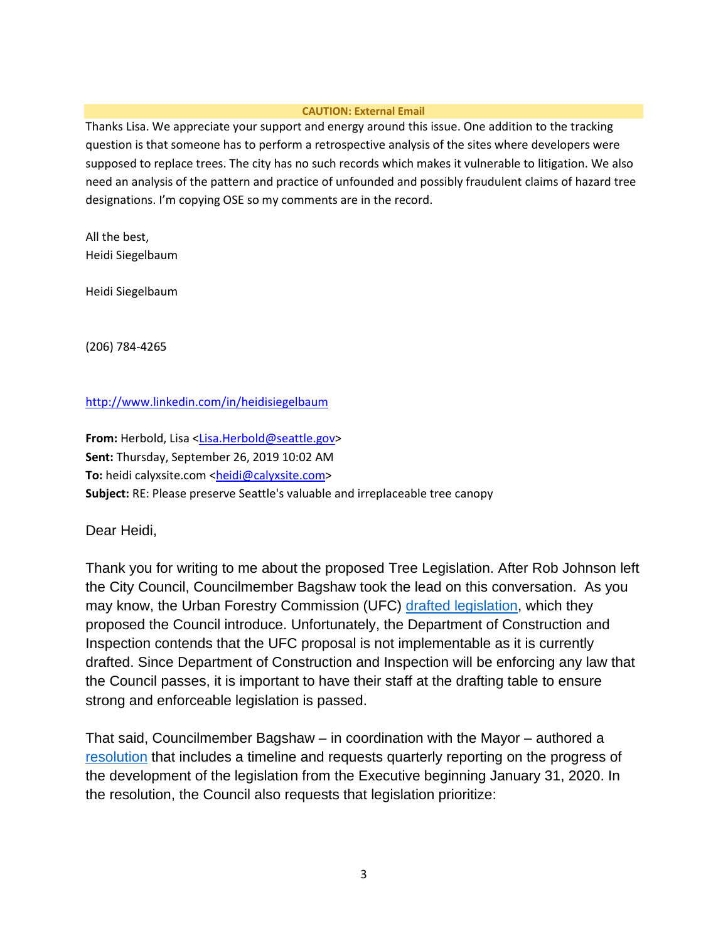# **CAUTION: External Email**

Thanks Lisa. We appreciate your support and energy around this issue. One addition to the tracking question is that someone has to perform a retrospective analysis of the sites where developers were supposed to replace trees. The city has no such records which makes it vulnerable to litigation. We also need an analysis of the pattern and practice of unfounded and possibly fraudulent claims of hazard tree designations. I'm copying OSE so my comments are in the record.

All the best, Heidi Siegelbaum

Heidi Siegelbaum

(206) 784-4265

# <http://www.linkedin.com/in/heidisiegelbaum>

From: Herbold, Lisa [<Lisa.Herbold@seattle.gov>](mailto:Lisa.Herbold@seattle.gov) **Sent:** Thursday, September 26, 2019 10:02 AM To: heidi calyxsite.com [<heidi@calyxsite.com>](mailto:heidi@calyxsite.com) **Subject:** RE: Please preserve Seattle's valuable and irreplaceable tree canopy

Dear Heidi,

Thank you for writing to me about the proposed Tree Legislation. After Rob Johnson left the City Council, Councilmember Bagshaw took the lead on this conversation. As you may know, the Urban Forestry Commission (UFC) [drafted legislation,](https://www.seattle.gov/Documents/Departments/UrbanForestryCommission/2019/2019docs/OutlineandDraftUFCTreeProtectionRegs070219FullDoc.pdf) which they proposed the Council introduce. Unfortunately, the Department of Construction and Inspection contends that the UFC proposal is not implementable as it is currently drafted. Since Department of Construction and Inspection will be enforcing any law that the Council passes, it is important to have their staff at the drafting table to ensure strong and enforceable legislation is passed.

That said, Councilmember Bagshaw – in coordination with the Mayor – authored a [resolution](http://seattle.legistar.com/LegislationDetail.aspx?ID=4129523&GUID=6AC9ED61-D479-4DC9-9EAF-3C765F83E0C6&FullText=1) that includes a timeline and requests quarterly reporting on the progress of the development of the legislation from the Executive beginning January 31, 2020. In the resolution, the Council also requests that legislation prioritize: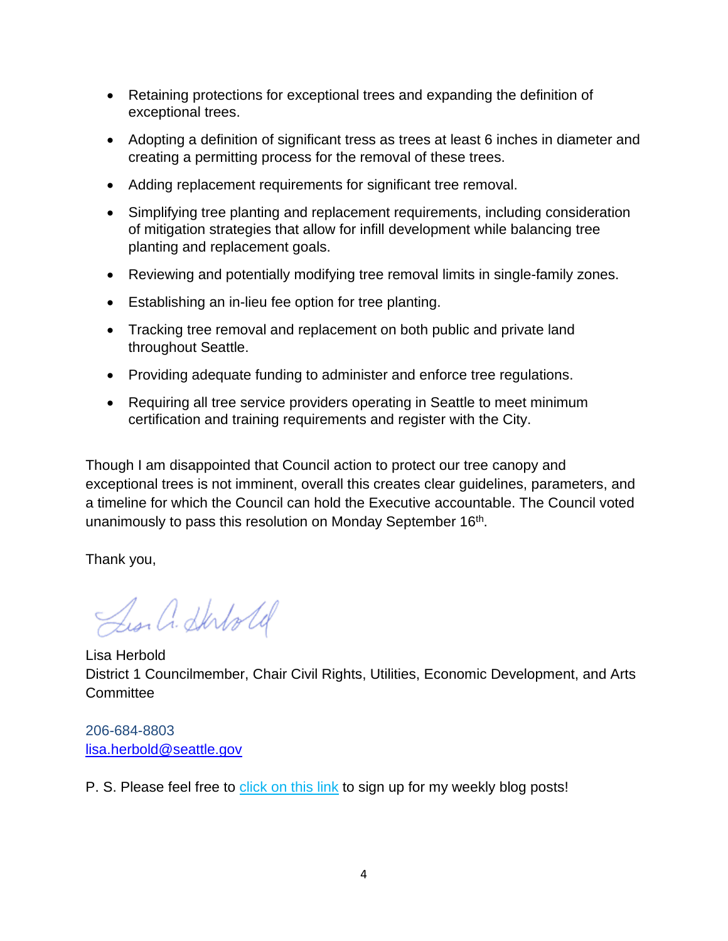- Retaining protections for exceptional trees and expanding the definition of exceptional trees.
- Adopting a definition of significant tress as trees at least 6 inches in diameter and creating a permitting process for the removal of these trees.
- Adding replacement requirements for significant tree removal.
- Simplifying tree planting and replacement requirements, including consideration of mitigation strategies that allow for infill development while balancing tree planting and replacement goals.
- Reviewing and potentially modifying tree removal limits in single-family zones.
- Establishing an in-lieu fee option for tree planting.
- Tracking tree removal and replacement on both public and private land throughout Seattle.
- Providing adequate funding to administer and enforce tree regulations.
- Requiring all tree service providers operating in Seattle to meet minimum certification and training requirements and register with the City.

Though I am disappointed that Council action to protect our tree canopy and exceptional trees is not imminent, overall this creates clear guidelines, parameters, and a timeline for which the Council can hold the Executive accountable. The Council voted unanimously to pass this resolution on Monday September 16<sup>th</sup>.

Thank you,

Les a Shotold

Lisa Herbold District 1 Councilmember, Chair Civil Rights, Utilities, Economic Development, and Arts **Committee** 

206-684-8803 [lisa.herbold@seattle.gov](mailto:lisa.herbold@seattle.gov)

P. S. Please feel free to [click on this link](http://seattle.us12.list-manage.com/subscribe?u=11a79978ca7225050bfabf7ad&id=bdd26bccf2) to sign up for my weekly blog posts!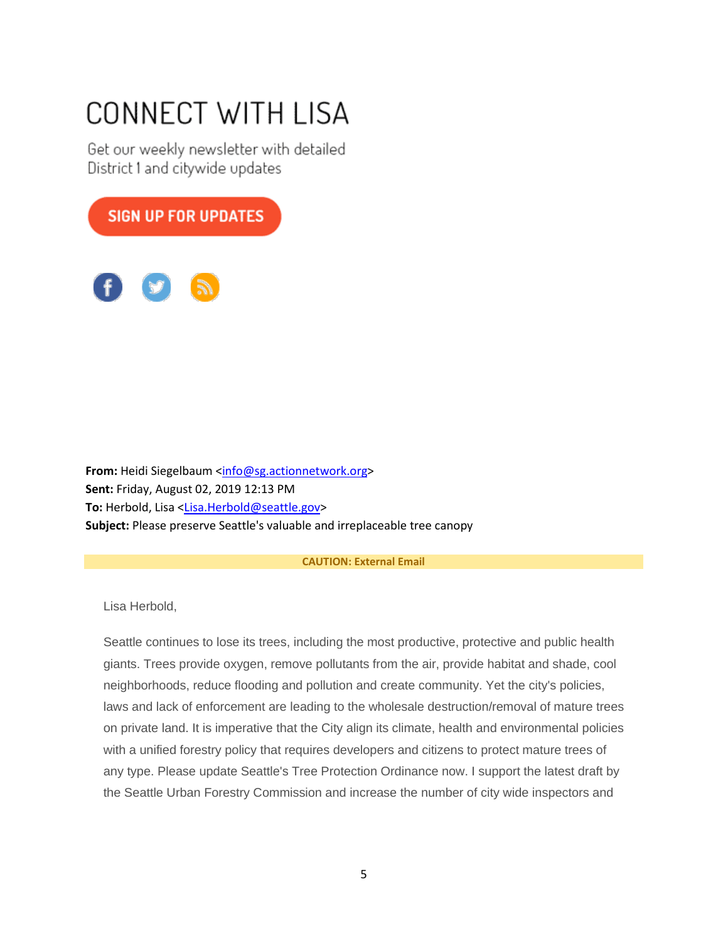# CONNECT WITH LISA

Get our weekly newsletter with detailed District 1 and citywide updates



From: Heidi Siegelbaum [<info@sg.actionnetwork.org>](mailto:info@sg.actionnetwork.org) **Sent:** Friday, August 02, 2019 12:13 PM **To:** Herbold, Lisa [<Lisa.Herbold@seattle.gov>](mailto:Lisa.Herbold@seattle.gov) **Subject:** Please preserve Seattle's valuable and irreplaceable tree canopy

## **CAUTION: External Email**

Lisa Herbold,

Seattle continues to lose its trees, including the most productive, protective and public health giants. Trees provide oxygen, remove pollutants from the air, provide habitat and shade, cool neighborhoods, reduce flooding and pollution and create community. Yet the city's policies, laws and lack of enforcement are leading to the wholesale destruction/removal of mature trees on private land. It is imperative that the City align its climate, health and environmental policies with a unified forestry policy that requires developers and citizens to protect mature trees of any type. Please update Seattle's Tree Protection Ordinance now. I support the latest draft by the Seattle Urban Forestry Commission and increase the number of city wide inspectors and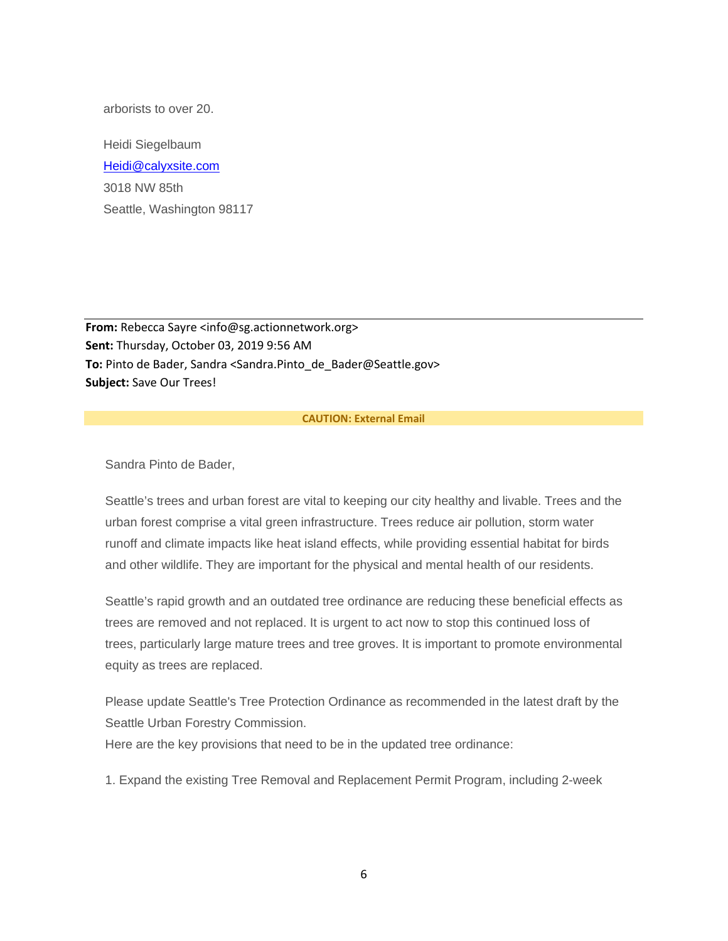arborists to over 20.

Heidi Siegelbaum [Heidi@calyxsite.com](mailto:Heidi@calyxsite.com) 3018 NW 85th Seattle, Washington 98117

**From:** Rebecca Sayre <info@sg.actionnetwork.org> **Sent:** Thursday, October 03, 2019 9:56 AM To: Pinto de Bader, Sandra <Sandra.Pinto de Bader@Seattle.gov> **Subject:** Save Our Trees!

## **CAUTION: External Email**

Sandra Pinto de Bader,

Seattle's trees and urban forest are vital to keeping our city healthy and livable. Trees and the urban forest comprise a vital green infrastructure. Trees reduce air pollution, storm water runoff and climate impacts like heat island effects, while providing essential habitat for birds and other wildlife. They are important for the physical and mental health of our residents.

Seattle's rapid growth and an outdated tree ordinance are reducing these beneficial effects as trees are removed and not replaced. It is urgent to act now to stop this continued loss of trees, particularly large mature trees and tree groves. It is important to promote environmental equity as trees are replaced.

Please update Seattle's Tree Protection Ordinance as recommended in the latest draft by the Seattle Urban Forestry Commission.

Here are the key provisions that need to be in the updated tree ordinance:

1. Expand the existing Tree Removal and Replacement Permit Program, including 2-week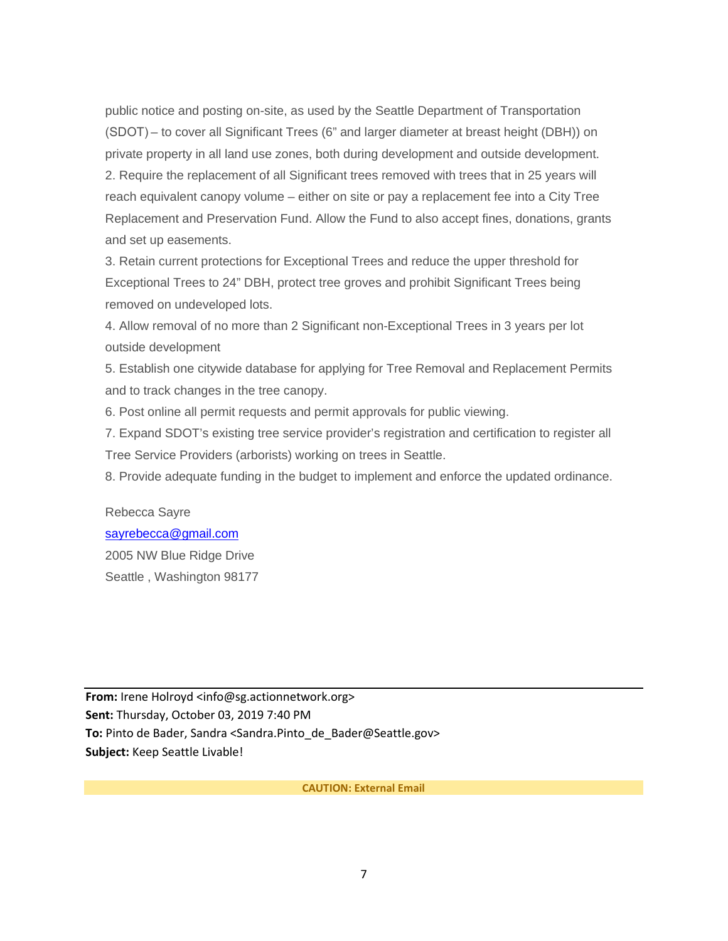public notice and posting on-site, as used by the Seattle Department of Transportation (SDOT) – to cover all Significant Trees (6" and larger diameter at breast height (DBH)) on private property in all land use zones, both during development and outside development. 2. Require the replacement of all Significant trees removed with trees that in 25 years will reach equivalent canopy volume – either on site or pay a replacement fee into a City Tree Replacement and Preservation Fund. Allow the Fund to also accept fines, donations, grants and set up easements.

3. Retain current protections for Exceptional Trees and reduce the upper threshold for Exceptional Trees to 24" DBH, protect tree groves and prohibit Significant Trees being removed on undeveloped lots.

4. Allow removal of no more than 2 Significant non-Exceptional Trees in 3 years per lot outside development

5. Establish one citywide database for applying for Tree Removal and Replacement Permits and to track changes in the tree canopy.

6. Post online all permit requests and permit approvals for public viewing.

7. Expand SDOT's existing tree service provider's registration and certification to register all Tree Service Providers (arborists) working on trees in Seattle.

8. Provide adequate funding in the budget to implement and enforce the updated ordinance.

Rebecca Sayre [sayrebecca@gmail.com](mailto:sayrebecca@gmail.com) 2005 NW Blue Ridge Drive Seattle , Washington 98177

**From:** Irene Holroyd <info@sg.actionnetwork.org> **Sent:** Thursday, October 03, 2019 7:40 PM To: Pinto de Bader, Sandra <Sandra.Pinto de Bader@Seattle.gov> **Subject:** Keep Seattle Livable!

**CAUTION: External Email**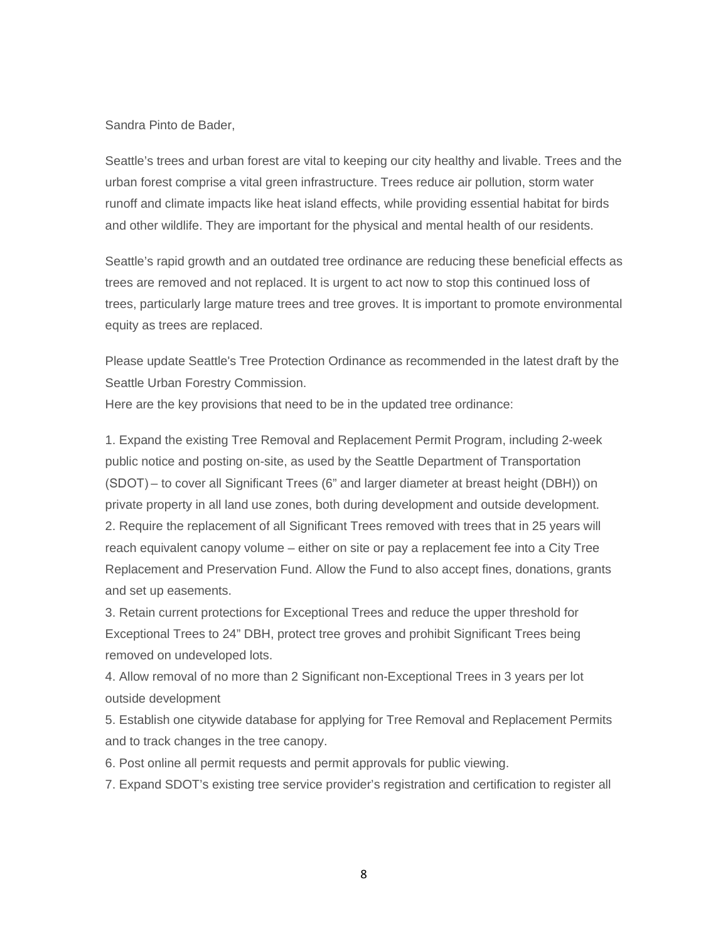#### Sandra Pinto de Bader,

Seattle's trees and urban forest are vital to keeping our city healthy and livable. Trees and the urban forest comprise a vital green infrastructure. Trees reduce air pollution, storm water runoff and climate impacts like heat island effects, while providing essential habitat for birds and other wildlife. They are important for the physical and mental health of our residents.

Seattle's rapid growth and an outdated tree ordinance are reducing these beneficial effects as trees are removed and not replaced. It is urgent to act now to stop this continued loss of trees, particularly large mature trees and tree groves. It is important to promote environmental equity as trees are replaced.

Please update Seattle's Tree Protection Ordinance as recommended in the latest draft by the Seattle Urban Forestry Commission.

Here are the key provisions that need to be in the updated tree ordinance:

1. Expand the existing Tree Removal and Replacement Permit Program, including 2-week public notice and posting on-site, as used by the Seattle Department of Transportation (SDOT) – to cover all Significant Trees (6" and larger diameter at breast height (DBH)) on private property in all land use zones, both during development and outside development. 2. Require the replacement of all Significant Trees removed with trees that in 25 years will reach equivalent canopy volume – either on site or pay a replacement fee into a City Tree Replacement and Preservation Fund. Allow the Fund to also accept fines, donations, grants and set up easements.

3. Retain current protections for Exceptional Trees and reduce the upper threshold for Exceptional Trees to 24" DBH, protect tree groves and prohibit Significant Trees being removed on undeveloped lots.

4. Allow removal of no more than 2 Significant non-Exceptional Trees in 3 years per lot outside development

5. Establish one citywide database for applying for Tree Removal and Replacement Permits and to track changes in the tree canopy.

6. Post online all permit requests and permit approvals for public viewing.

7. Expand SDOT's existing tree service provider's registration and certification to register all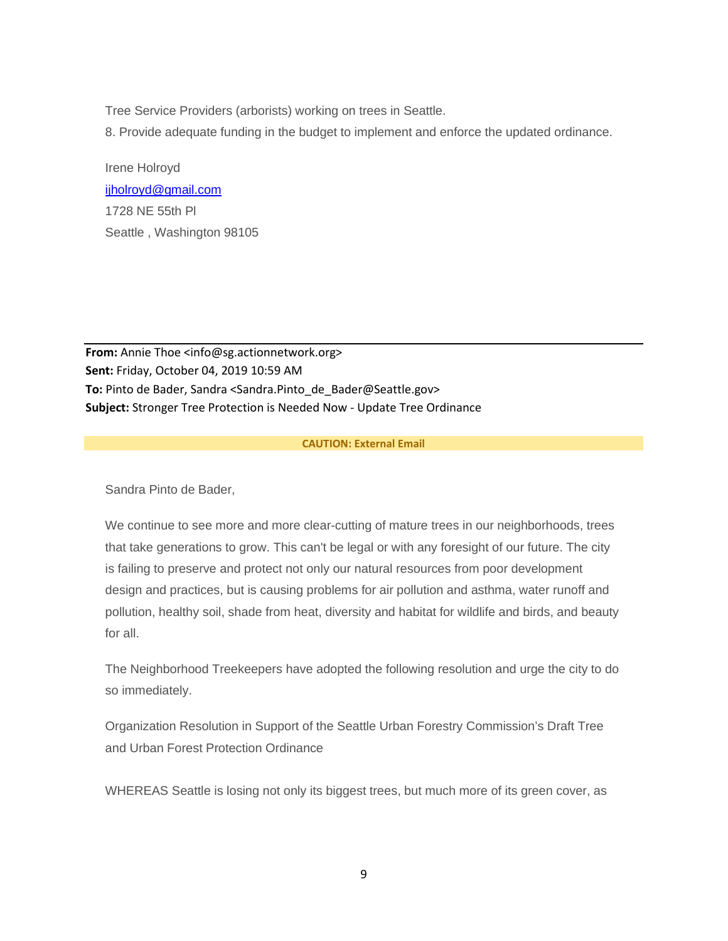Tree Service Providers (arborists) working on trees in Seattle.

8. Provide adequate funding in the budget to implement and enforce the updated ordinance.

Irene Holroyd [ijholroyd@gmail.com](mailto:ijholroyd@gmail.com) 1728 NE 55th Pl Seattle , Washington 98105

**From:** Annie Thoe <info@sg.actionnetwork.org> **Sent:** Friday, October 04, 2019 10:59 AM To: Pinto de Bader, Sandra <Sandra.Pinto de Bader@Seattle.gov> **Subject:** Stronger Tree Protection is Needed Now - Update Tree Ordinance

# **CAUTION: External Email**

Sandra Pinto de Bader,

We continue to see more and more clear-cutting of mature trees in our neighborhoods, trees that take generations to grow. This can't be legal or with any foresight of our future. The city is failing to preserve and protect not only our natural resources from poor development design and practices, but is causing problems for air pollution and asthma, water runoff and pollution, healthy soil, shade from heat, diversity and habitat for wildlife and birds, and beauty for all.

The Neighborhood Treekeepers have adopted the following resolution and urge the city to do so immediately.

Organization Resolution in Support of the Seattle Urban Forestry Commission's Draft Tree and Urban Forest Protection Ordinance

WHEREAS Seattle is losing not only its biggest trees, but much more of its green cover, as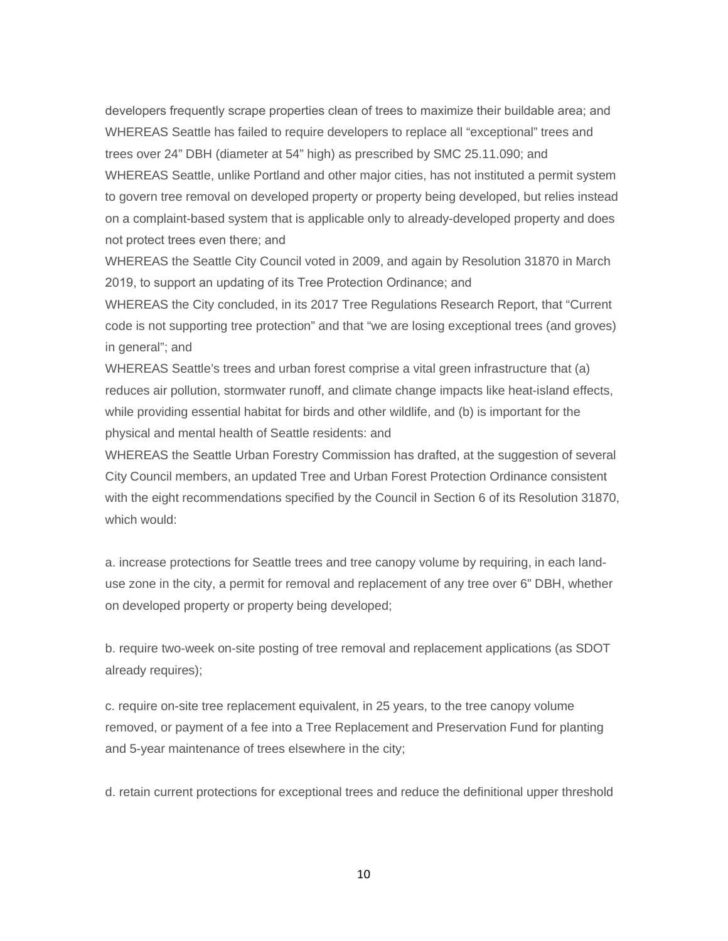developers frequently scrape properties clean of trees to maximize their buildable area; and  WHEREAS Seattle has failed to require developers to replace all "exceptional" trees and trees over 24" DBH (diameter at 54" high) as prescribed by SMC 25.11.090; and WHEREAS Seattle, unlike Portland and other major cities, has not instituted a permit system to govern tree removal on developed property or property being developed, but relies instead on a complaint-based system that is applicable only to already-developed property and does not protect trees even there; and 

WHEREAS the Seattle City Council voted in 2009, and again by Resolution 31870 in March 2019, to support an updating of its Tree Protection Ordinance; and 

WHEREAS the City concluded, in its 2017 Tree Regulations Research Report, that "Current code is not supporting tree protection" and that "we are losing exceptional trees (and groves) in general"; and

WHEREAS Seattle's trees and urban forest comprise a vital green infrastructure that (a) reduces air pollution, stormwater runoff, and climate change impacts like heat-island effects, while providing essential habitat for birds and other wildlife, and (b) is important for the physical and mental health of Seattle residents: and

WHEREAS the Seattle Urban Forestry Commission has drafted, at the suggestion of several City Council members, an updated Tree and Urban Forest Protection Ordinance consistent with the eight recommendations specified by the Council in Section 6 of its Resolution 31870, which would:

a. increase protections for Seattle trees and tree canopy volume by requiring, in each landuse zone in the city, a permit for removal and replacement of any tree over 6" DBH, whether on developed property or property being developed;

b. require two-week on-site posting of tree removal and replacement applications (as SDOT already requires);

c. require on-site tree replacement equivalent, in 25 years, to the tree canopy volume removed, or payment of a fee into a Tree Replacement and Preservation Fund for planting and 5-year maintenance of trees elsewhere in the city;

d. retain current protections for exceptional trees and reduce the definitional upper threshold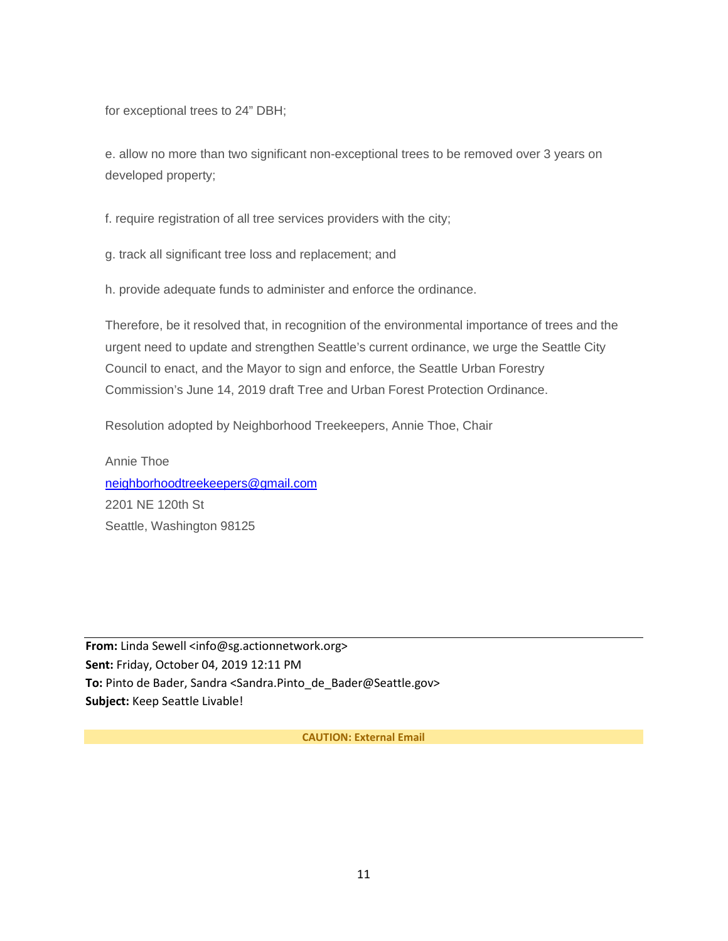for exceptional trees to 24" DBH;

e. allow no more than two significant non-exceptional trees to be removed over 3 years on developed property;

f. require registration of all tree services providers with the city;

g. track all significant tree loss and replacement; and

h. provide adequate funds to administer and enforce the ordinance.

Therefore, be it resolved that, in recognition of the environmental importance of trees and the urgent need to update and strengthen Seattle's current ordinance, we urge the Seattle City Council to enact, and the Mayor to sign and enforce, the Seattle Urban Forestry Commission's June 14, 2019 draft Tree and Urban Forest Protection Ordinance.

Resolution adopted by Neighborhood Treekeepers, Annie Thoe, Chair

Annie Thoe [neighborhoodtreekeepers@gmail.com](mailto:neighborhoodtreekeepers@gmail.com) 2201 NE 120th St Seattle, Washington 98125

**From:** Linda Sewell <info@sg.actionnetwork.org> **Sent:** Friday, October 04, 2019 12:11 PM **To:** Pinto de Bader, Sandra <Sandra.Pinto\_de\_Bader@Seattle.gov> **Subject:** Keep Seattle Livable!

**CAUTION: External Email**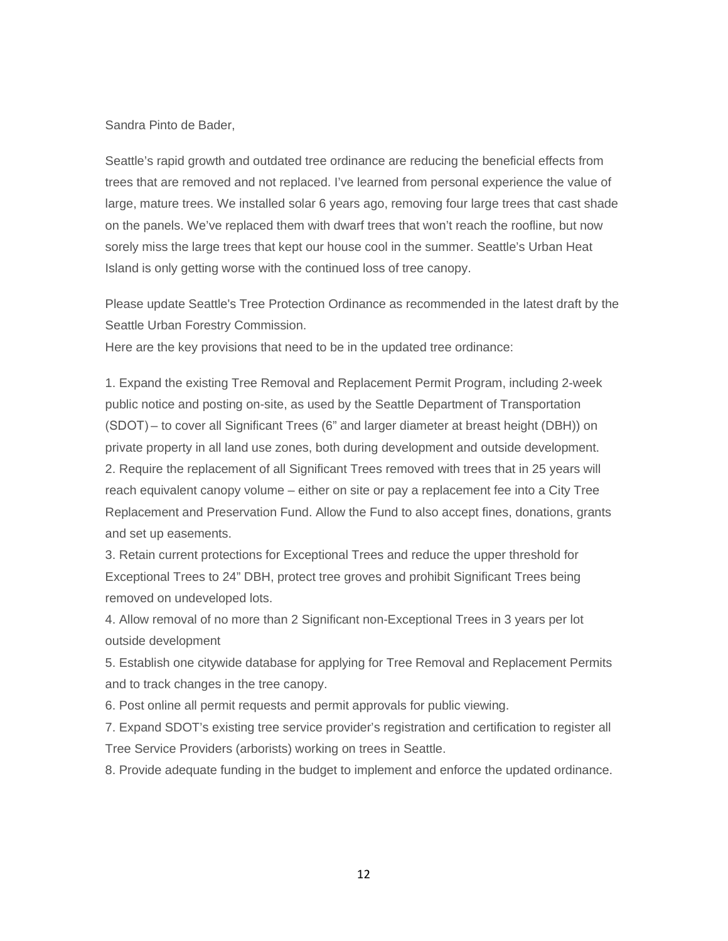## Sandra Pinto de Bader,

Seattle's rapid growth and outdated tree ordinance are reducing the beneficial effects from trees that are removed and not replaced. I've learned from personal experience the value of large, mature trees. We installed solar 6 years ago, removing four large trees that cast shade on the panels. We've replaced them with dwarf trees that won't reach the roofline, but now sorely miss the large trees that kept our house cool in the summer. Seattle's Urban Heat Island is only getting worse with the continued loss of tree canopy.

Please update Seattle's Tree Protection Ordinance as recommended in the latest draft by the Seattle Urban Forestry Commission.

Here are the key provisions that need to be in the updated tree ordinance:

1. Expand the existing Tree Removal and Replacement Permit Program, including 2-week public notice and posting on-site, as used by the Seattle Department of Transportation (SDOT) – to cover all Significant Trees (6" and larger diameter at breast height (DBH)) on private property in all land use zones, both during development and outside development. 2. Require the replacement of all Significant Trees removed with trees that in 25 years will reach equivalent canopy volume – either on site or pay a replacement fee into a City Tree Replacement and Preservation Fund. Allow the Fund to also accept fines, donations, grants and set up easements.

3. Retain current protections for Exceptional Trees and reduce the upper threshold for Exceptional Trees to 24" DBH, protect tree groves and prohibit Significant Trees being removed on undeveloped lots.

4. Allow removal of no more than 2 Significant non-Exceptional Trees in 3 years per lot outside development

5. Establish one citywide database for applying for Tree Removal and Replacement Permits and to track changes in the tree canopy.

6. Post online all permit requests and permit approvals for public viewing.

7. Expand SDOT's existing tree service provider's registration and certification to register all Tree Service Providers (arborists) working on trees in Seattle.

8. Provide adequate funding in the budget to implement and enforce the updated ordinance.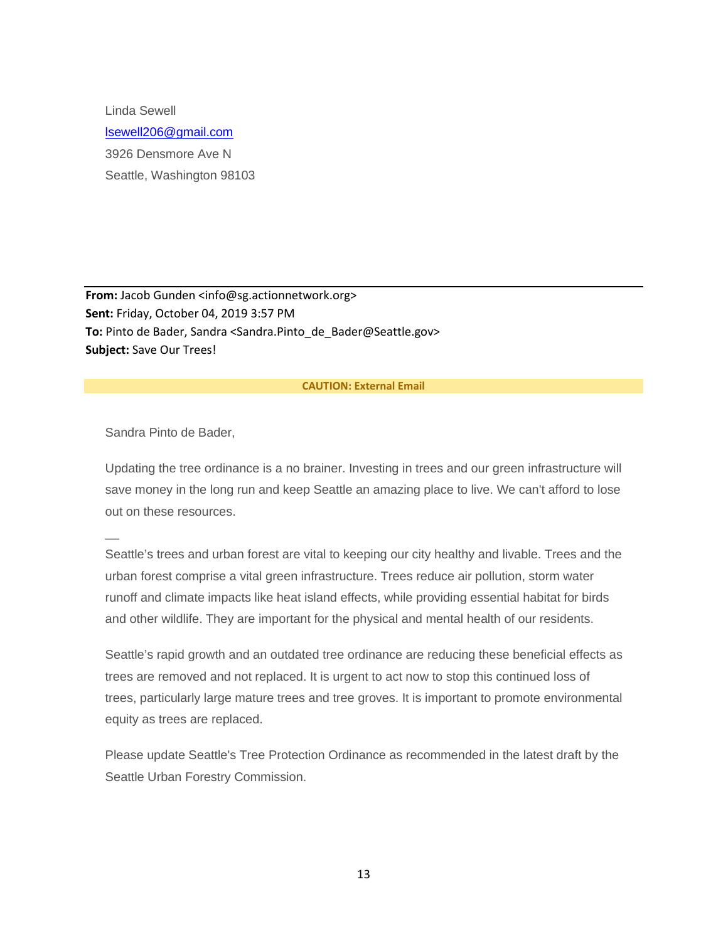Linda Sewell [lsewell206@gmail.com](mailto:lsewell206@gmail.com) 3926 Densmore Ave N Seattle, Washington 98103

**From:** Jacob Gunden <info@sg.actionnetwork.org> **Sent:** Friday, October 04, 2019 3:57 PM To: Pinto de Bader, Sandra <Sandra.Pinto de Bader@Seattle.gov> **Subject:** Save Our Trees!

#### **CAUTION: External Email**

Sandra Pinto de Bader,

 $\overline{\phantom{a}}$ 

Updating the tree ordinance is a no brainer. Investing in trees and our green infrastructure will save money in the long run and keep Seattle an amazing place to live. We can't afford to lose out on these resources.

Seattle's trees and urban forest are vital to keeping our city healthy and livable. Trees and the urban forest comprise a vital green infrastructure. Trees reduce air pollution, storm water runoff and climate impacts like heat island effects, while providing essential habitat for birds and other wildlife. They are important for the physical and mental health of our residents.

Seattle's rapid growth and an outdated tree ordinance are reducing these beneficial effects as trees are removed and not replaced. It is urgent to act now to stop this continued loss of trees, particularly large mature trees and tree groves. It is important to promote environmental equity as trees are replaced.

Please update Seattle's Tree Protection Ordinance as recommended in the latest draft by the Seattle Urban Forestry Commission.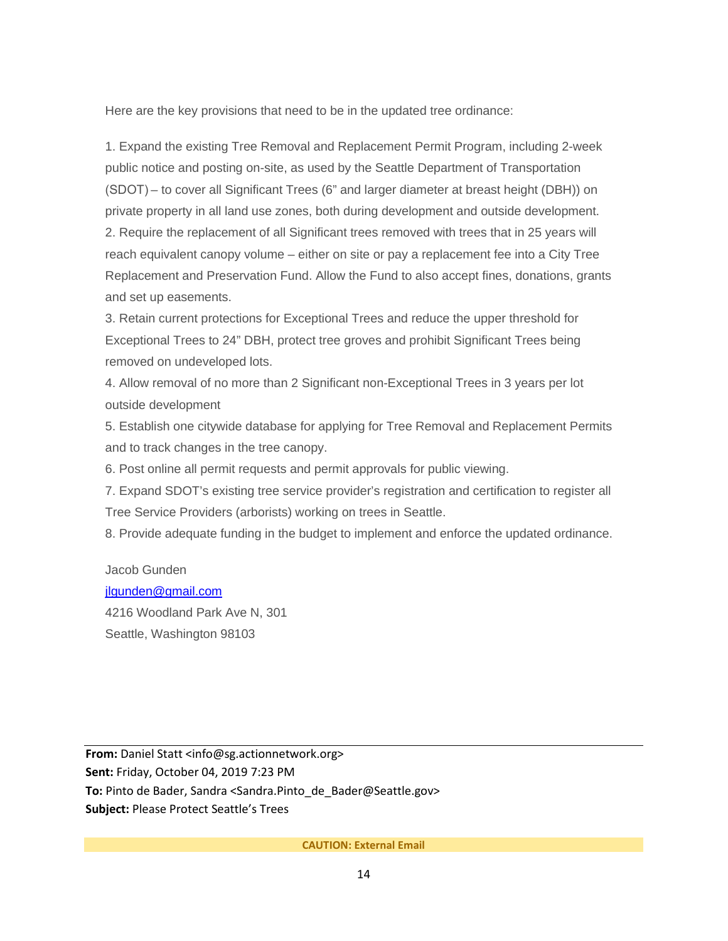Here are the key provisions that need to be in the updated tree ordinance:

1. Expand the existing Tree Removal and Replacement Permit Program, including 2-week public notice and posting on-site, as used by the Seattle Department of Transportation (SDOT) – to cover all Significant Trees (6" and larger diameter at breast height (DBH)) on private property in all land use zones, both during development and outside development. 2. Require the replacement of all Significant trees removed with trees that in 25 years will reach equivalent canopy volume – either on site or pay a replacement fee into a City Tree Replacement and Preservation Fund. Allow the Fund to also accept fines, donations, grants and set up easements.

3. Retain current protections for Exceptional Trees and reduce the upper threshold for Exceptional Trees to 24" DBH, protect tree groves and prohibit Significant Trees being removed on undeveloped lots.

4. Allow removal of no more than 2 Significant non-Exceptional Trees in 3 years per lot outside development

5. Establish one citywide database for applying for Tree Removal and Replacement Permits and to track changes in the tree canopy.

6. Post online all permit requests and permit approvals for public viewing.

7. Expand SDOT's existing tree service provider's registration and certification to register all Tree Service Providers (arborists) working on trees in Seattle.

8. Provide adequate funding in the budget to implement and enforce the updated ordinance.

Jacob Gunden [jlgunden@gmail.com](mailto:jlgunden@gmail.com)

4216 Woodland Park Ave N, 301 Seattle, Washington 98103

**From:** Daniel Statt <info@sg.actionnetwork.org> **Sent:** Friday, October 04, 2019 7:23 PM **To:** Pinto de Bader, Sandra <Sandra.Pinto\_de\_Bader@Seattle.gov> **Subject:** Please Protect Seattle's Trees

**CAUTION: External Email**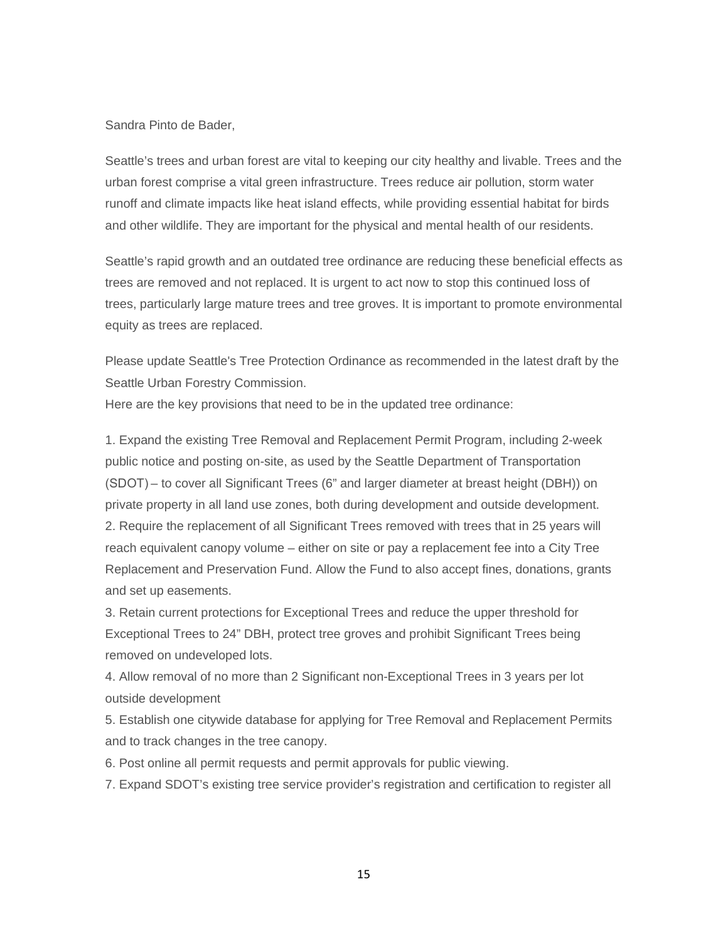## Sandra Pinto de Bader,

Seattle's trees and urban forest are vital to keeping our city healthy and livable. Trees and the urban forest comprise a vital green infrastructure. Trees reduce air pollution, storm water runoff and climate impacts like heat island effects, while providing essential habitat for birds and other wildlife. They are important for the physical and mental health of our residents.

Seattle's rapid growth and an outdated tree ordinance are reducing these beneficial effects as trees are removed and not replaced. It is urgent to act now to stop this continued loss of trees, particularly large mature trees and tree groves. It is important to promote environmental equity as trees are replaced.

Please update Seattle's Tree Protection Ordinance as recommended in the latest draft by the Seattle Urban Forestry Commission.

Here are the key provisions that need to be in the updated tree ordinance:

1. Expand the existing Tree Removal and Replacement Permit Program, including 2-week public notice and posting on-site, as used by the Seattle Department of Transportation (SDOT) – to cover all Significant Trees (6" and larger diameter at breast height (DBH)) on private property in all land use zones, both during development and outside development. 2. Require the replacement of all Significant Trees removed with trees that in 25 years will reach equivalent canopy volume – either on site or pay a replacement fee into a City Tree Replacement and Preservation Fund. Allow the Fund to also accept fines, donations, grants and set up easements.

3. Retain current protections for Exceptional Trees and reduce the upper threshold for Exceptional Trees to 24" DBH, protect tree groves and prohibit Significant Trees being removed on undeveloped lots.

4. Allow removal of no more than 2 Significant non-Exceptional Trees in 3 years per lot outside development

5. Establish one citywide database for applying for Tree Removal and Replacement Permits and to track changes in the tree canopy.

6. Post online all permit requests and permit approvals for public viewing.

7. Expand SDOT's existing tree service provider's registration and certification to register all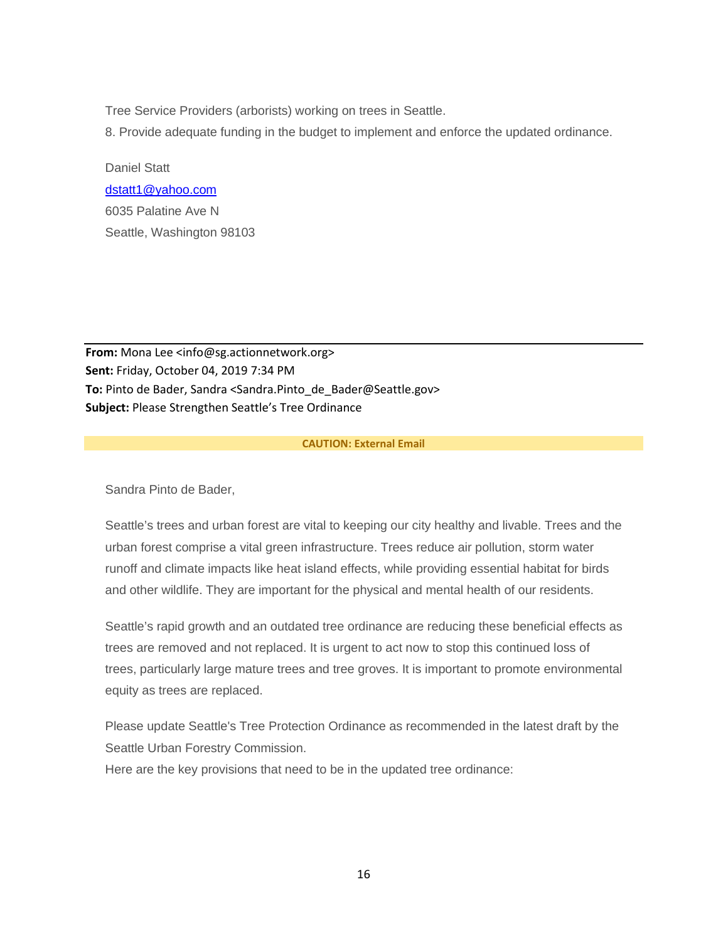Tree Service Providers (arborists) working on trees in Seattle.

8. Provide adequate funding in the budget to implement and enforce the updated ordinance.

Daniel Statt [dstatt1@yahoo.com](mailto:dstatt1@yahoo.com) 6035 Palatine Ave N Seattle, Washington 98103

**From:** Mona Lee <info@sg.actionnetwork.org> **Sent:** Friday, October 04, 2019 7:34 PM To: Pinto de Bader, Sandra <Sandra.Pinto de Bader@Seattle.gov> **Subject:** Please Strengthen Seattle's Tree Ordinance

## **CAUTION: External Email**

Sandra Pinto de Bader,

Seattle's trees and urban forest are vital to keeping our city healthy and livable. Trees and the urban forest comprise a vital green infrastructure. Trees reduce air pollution, storm water runoff and climate impacts like heat island effects, while providing essential habitat for birds and other wildlife. They are important for the physical and mental health of our residents.

Seattle's rapid growth and an outdated tree ordinance are reducing these beneficial effects as trees are removed and not replaced. It is urgent to act now to stop this continued loss of trees, particularly large mature trees and tree groves. It is important to promote environmental equity as trees are replaced.

Please update Seattle's Tree Protection Ordinance as recommended in the latest draft by the Seattle Urban Forestry Commission.

Here are the key provisions that need to be in the updated tree ordinance: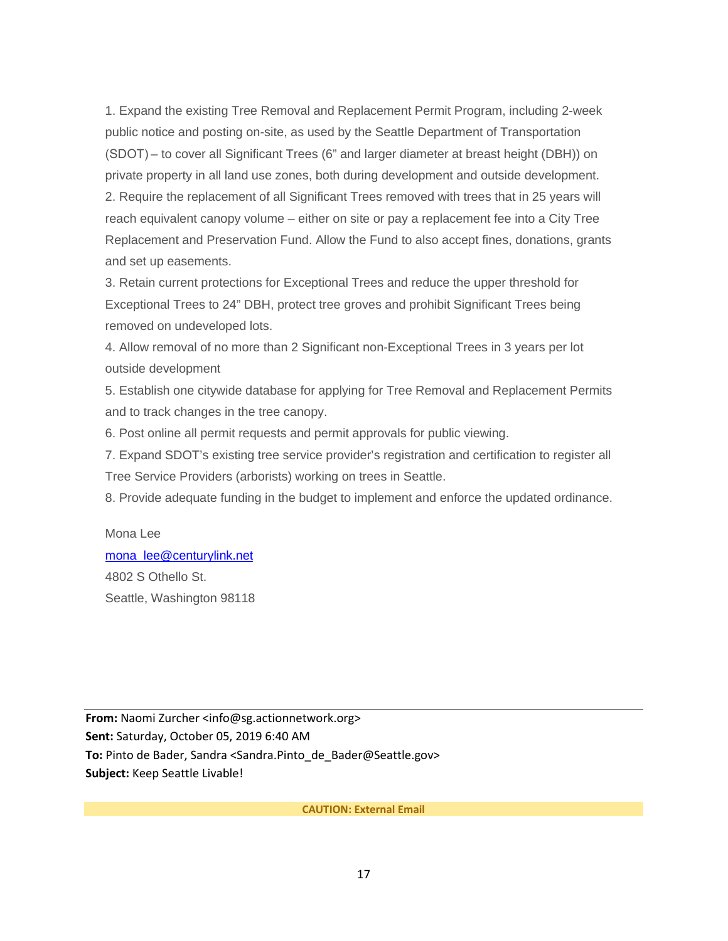1. Expand the existing Tree Removal and Replacement Permit Program, including 2-week public notice and posting on-site, as used by the Seattle Department of Transportation (SDOT) – to cover all Significant Trees (6" and larger diameter at breast height (DBH)) on private property in all land use zones, both during development and outside development. 2. Require the replacement of all Significant Trees removed with trees that in 25 years will reach equivalent canopy volume – either on site or pay a replacement fee into a City Tree Replacement and Preservation Fund. Allow the Fund to also accept fines, donations, grants and set up easements.

3. Retain current protections for Exceptional Trees and reduce the upper threshold for Exceptional Trees to 24" DBH, protect tree groves and prohibit Significant Trees being removed on undeveloped lots.

4. Allow removal of no more than 2 Significant non-Exceptional Trees in 3 years per lot outside development

5. Establish one citywide database for applying for Tree Removal and Replacement Permits and to track changes in the tree canopy.

6. Post online all permit requests and permit approvals for public viewing.

7. Expand SDOT's existing tree service provider's registration and certification to register all Tree Service Providers (arborists) working on trees in Seattle.

8. Provide adequate funding in the budget to implement and enforce the updated ordinance.

Mona Lee [mona\\_lee@centurylink.net](mailto:mona_lee@centurylink.net) 4802 S Othello St. Seattle, Washington 98118

**From:** Naomi Zurcher <info@sg.actionnetwork.org> **Sent:** Saturday, October 05, 2019 6:40 AM To: Pinto de Bader, Sandra <Sandra.Pinto de Bader@Seattle.gov> **Subject:** Keep Seattle Livable!

**CAUTION: External Email**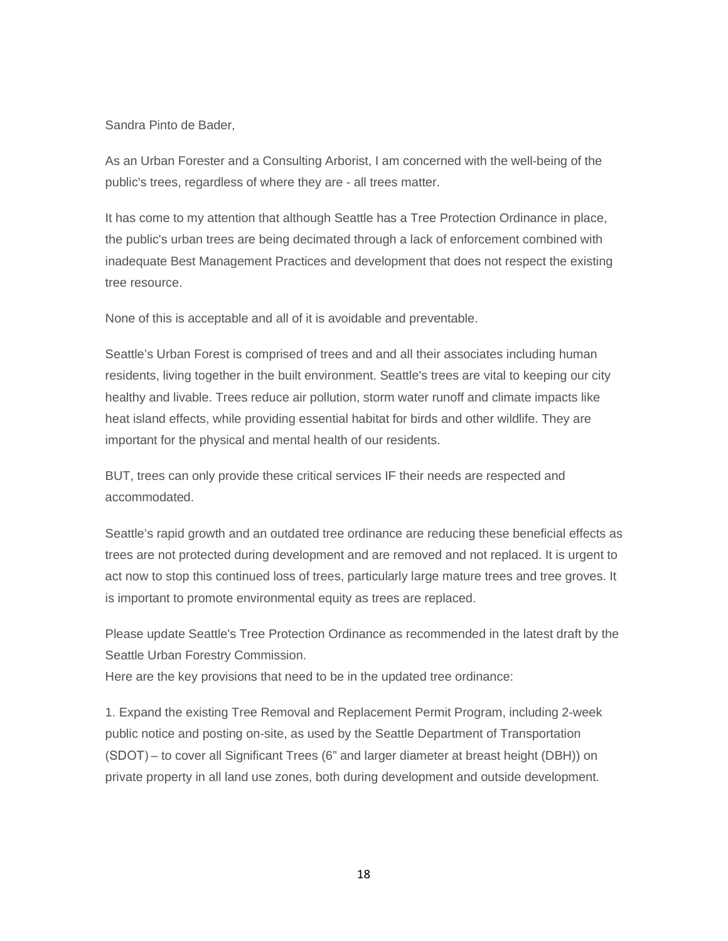# Sandra Pinto de Bader,

As an Urban Forester and a Consulting Arborist, I am concerned with the well-being of the public's trees, regardless of where they are - all trees matter.

It has come to my attention that although Seattle has a Tree Protection Ordinance in place, the public's urban trees are being decimated through a lack of enforcement combined with inadequate Best Management Practices and development that does not respect the existing tree resource.

None of this is acceptable and all of it is avoidable and preventable.

Seattle's Urban Forest is comprised of trees and and all their associates including human residents, living together in the built environment. Seattle's trees are vital to keeping our city healthy and livable. Trees reduce air pollution, storm water runoff and climate impacts like heat island effects, while providing essential habitat for birds and other wildlife. They are important for the physical and mental health of our residents.

BUT, trees can only provide these critical services IF their needs are respected and accommodated.

Seattle's rapid growth and an outdated tree ordinance are reducing these beneficial effects as trees are not protected during development and are removed and not replaced. It is urgent to act now to stop this continued loss of trees, particularly large mature trees and tree groves. It is important to promote environmental equity as trees are replaced.

Please update Seattle's Tree Protection Ordinance as recommended in the latest draft by the Seattle Urban Forestry Commission.

Here are the key provisions that need to be in the updated tree ordinance:

1. Expand the existing Tree Removal and Replacement Permit Program, including 2-week public notice and posting on-site, as used by the Seattle Department of Transportation (SDOT) – to cover all Significant Trees (6" and larger diameter at breast height (DBH)) on private property in all land use zones, both during development and outside development.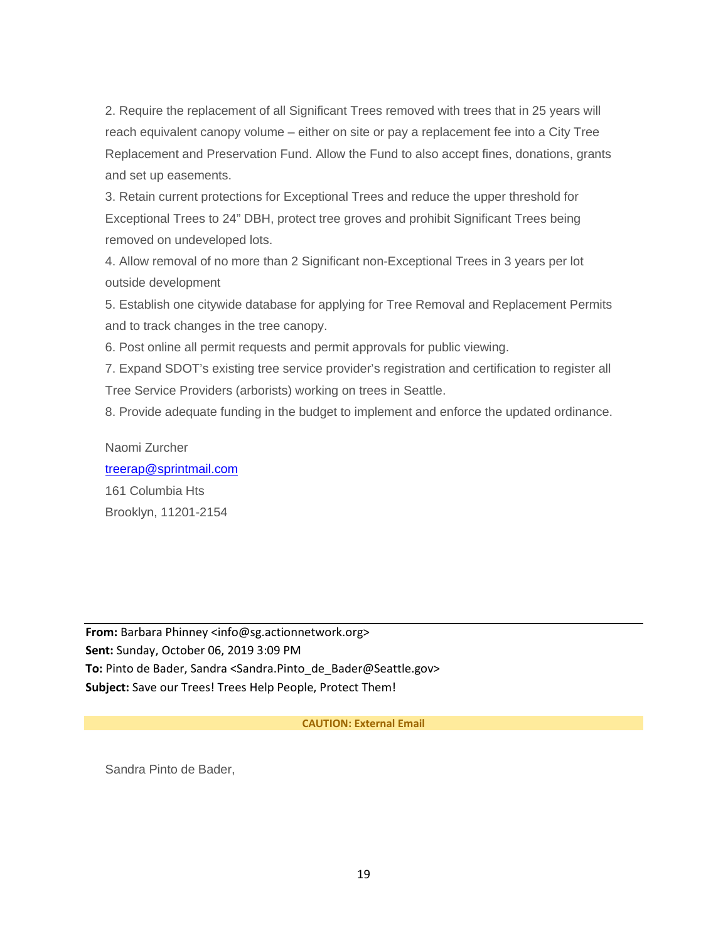2. Require the replacement of all Significant Trees removed with trees that in 25 years will reach equivalent canopy volume – either on site or pay a replacement fee into a City Tree Replacement and Preservation Fund. Allow the Fund to also accept fines, donations, grants and set up easements.

3. Retain current protections for Exceptional Trees and reduce the upper threshold for Exceptional Trees to 24" DBH, protect tree groves and prohibit Significant Trees being removed on undeveloped lots.

4. Allow removal of no more than 2 Significant non-Exceptional Trees in 3 years per lot outside development

5. Establish one citywide database for applying for Tree Removal and Replacement Permits and to track changes in the tree canopy.

6. Post online all permit requests and permit approvals for public viewing.

7. Expand SDOT's existing tree service provider's registration and certification to register all Tree Service Providers (arborists) working on trees in Seattle.

8. Provide adequate funding in the budget to implement and enforce the updated ordinance.

## Naomi Zurcher

[treerap@sprintmail.com](mailto:treerap@sprintmail.com) 161 Columbia Hts Brooklyn, 11201-2154

**From:** Barbara Phinney <info@sg.actionnetwork.org> **Sent:** Sunday, October 06, 2019 3:09 PM To: Pinto de Bader, Sandra <Sandra.Pinto de Bader@Seattle.gov> **Subject:** Save our Trees! Trees Help People, Protect Them!

## **CAUTION: External Email**

Sandra Pinto de Bader,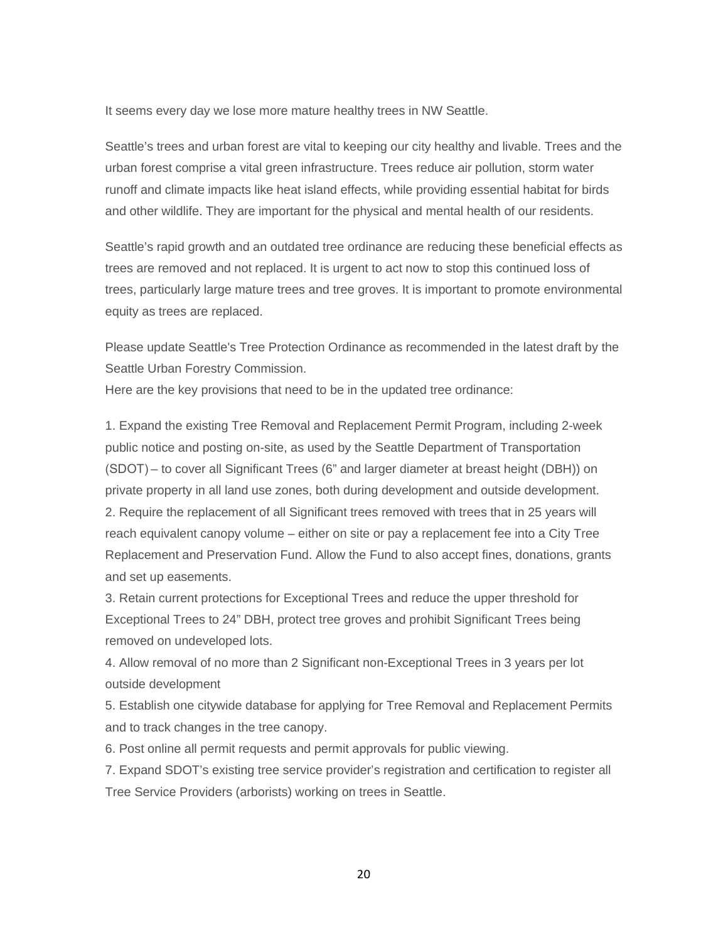It seems every day we lose more mature healthy trees in NW Seattle.

Seattle's trees and urban forest are vital to keeping our city healthy and livable. Trees and the urban forest comprise a vital green infrastructure. Trees reduce air pollution, storm water runoff and climate impacts like heat island effects, while providing essential habitat for birds and other wildlife. They are important for the physical and mental health of our residents.

Seattle's rapid growth and an outdated tree ordinance are reducing these beneficial effects as trees are removed and not replaced. It is urgent to act now to stop this continued loss of trees, particularly large mature trees and tree groves. It is important to promote environmental equity as trees are replaced.

Please update Seattle's Tree Protection Ordinance as recommended in the latest draft by the Seattle Urban Forestry Commission.

Here are the key provisions that need to be in the updated tree ordinance:

1. Expand the existing Tree Removal and Replacement Permit Program, including 2-week public notice and posting on-site, as used by the Seattle Department of Transportation (SDOT) – to cover all Significant Trees (6" and larger diameter at breast height (DBH)) on private property in all land use zones, both during development and outside development. 2. Require the replacement of all Significant trees removed with trees that in 25 years will reach equivalent canopy volume – either on site or pay a replacement fee into a City Tree Replacement and Preservation Fund. Allow the Fund to also accept fines, donations, grants and set up easements.

3. Retain current protections for Exceptional Trees and reduce the upper threshold for Exceptional Trees to 24" DBH, protect tree groves and prohibit Significant Trees being removed on undeveloped lots.

4. Allow removal of no more than 2 Significant non-Exceptional Trees in 3 years per lot outside development

5. Establish one citywide database for applying for Tree Removal and Replacement Permits and to track changes in the tree canopy.

6. Post online all permit requests and permit approvals for public viewing.

7. Expand SDOT's existing tree service provider's registration and certification to register all Tree Service Providers (arborists) working on trees in Seattle.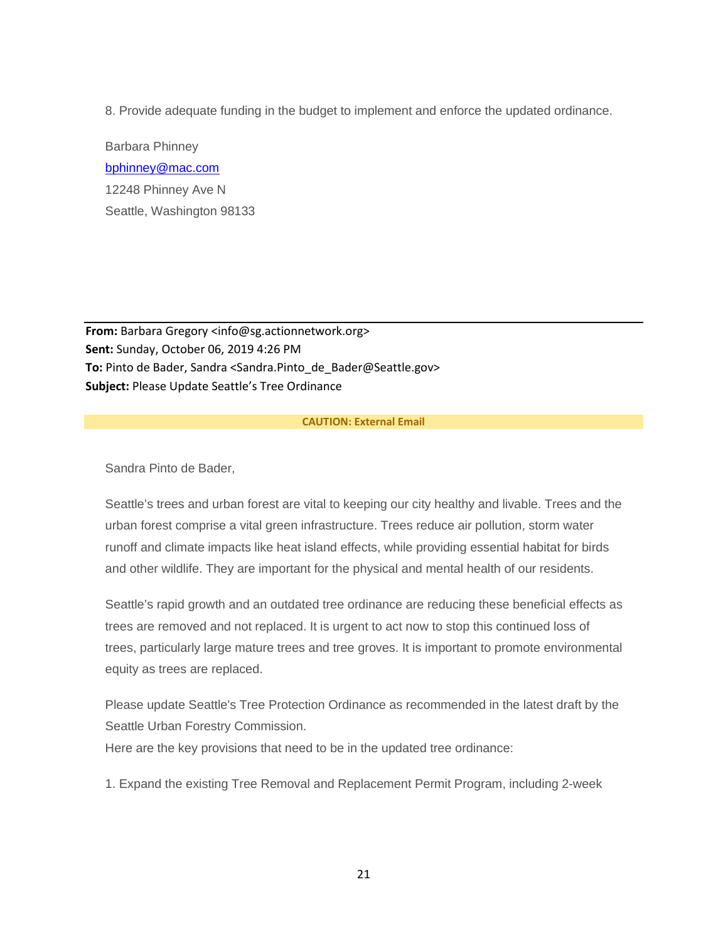8. Provide adequate funding in the budget to implement and enforce the updated ordinance.

Barbara Phinney [bphinney@mac.com](mailto:bphinney@mac.com) 12248 Phinney Ave N Seattle, Washington 98133

**From:** Barbara Gregory <info@sg.actionnetwork.org> **Sent:** Sunday, October 06, 2019 4:26 PM To: Pinto de Bader, Sandra <Sandra.Pinto de Bader@Seattle.gov> **Subject:** Please Update Seattle's Tree Ordinance

## **CAUTION: External Email**

Sandra Pinto de Bader,

Seattle's trees and urban forest are vital to keeping our city healthy and livable. Trees and the urban forest comprise a vital green infrastructure. Trees reduce air pollution, storm water runoff and climate impacts like heat island effects, while providing essential habitat for birds and other wildlife. They are important for the physical and mental health of our residents.

Seattle's rapid growth and an outdated tree ordinance are reducing these beneficial effects as trees are removed and not replaced. It is urgent to act now to stop this continued loss of trees, particularly large mature trees and tree groves. It is important to promote environmental equity as trees are replaced.

Please update Seattle's Tree Protection Ordinance as recommended in the latest draft by the Seattle Urban Forestry Commission.

Here are the key provisions that need to be in the updated tree ordinance:

1. Expand the existing Tree Removal and Replacement Permit Program, including 2-week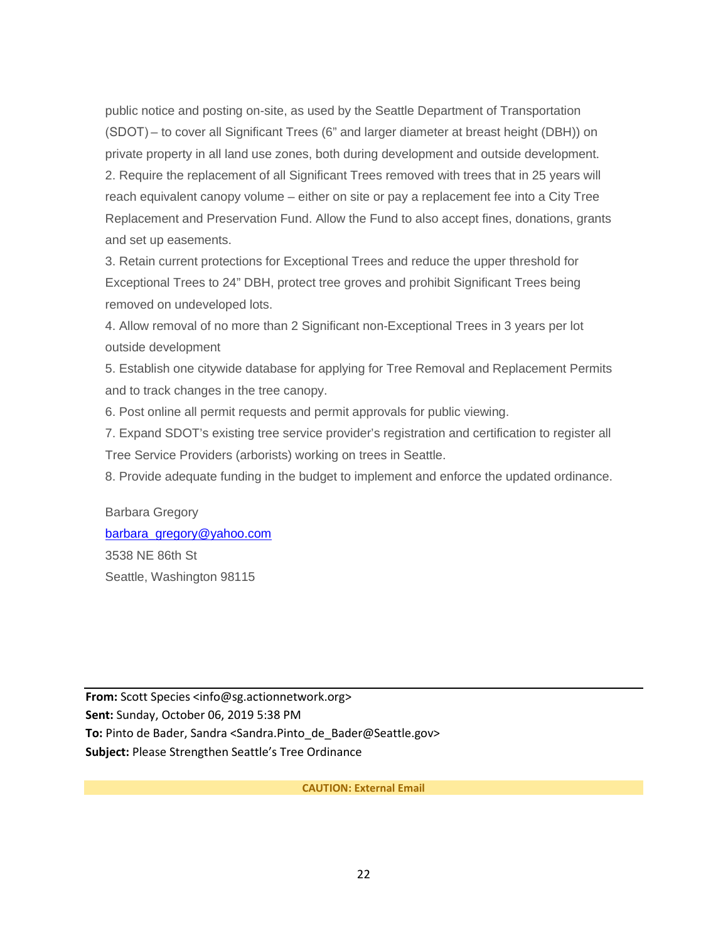public notice and posting on-site, as used by the Seattle Department of Transportation (SDOT) – to cover all Significant Trees (6" and larger diameter at breast height (DBH)) on private property in all land use zones, both during development and outside development. 2. Require the replacement of all Significant Trees removed with trees that in 25 years will reach equivalent canopy volume – either on site or pay a replacement fee into a City Tree Replacement and Preservation Fund. Allow the Fund to also accept fines, donations, grants and set up easements.

3. Retain current protections for Exceptional Trees and reduce the upper threshold for Exceptional Trees to 24" DBH, protect tree groves and prohibit Significant Trees being removed on undeveloped lots.

4. Allow removal of no more than 2 Significant non-Exceptional Trees in 3 years per lot outside development

5. Establish one citywide database for applying for Tree Removal and Replacement Permits and to track changes in the tree canopy.

6. Post online all permit requests and permit approvals for public viewing.

7. Expand SDOT's existing tree service provider's registration and certification to register all Tree Service Providers (arborists) working on trees in Seattle.

8. Provide adequate funding in the budget to implement and enforce the updated ordinance.

Barbara Gregory [barbara\\_gregory@yahoo.com](mailto:barbara_gregory@yahoo.com) 3538 NE 86th St Seattle, Washington 98115

**From:** Scott Species <info@sg.actionnetwork.org> **Sent:** Sunday, October 06, 2019 5:38 PM To: Pinto de Bader, Sandra <Sandra.Pinto de Bader@Seattle.gov> **Subject:** Please Strengthen Seattle's Tree Ordinance

**CAUTION: External Email**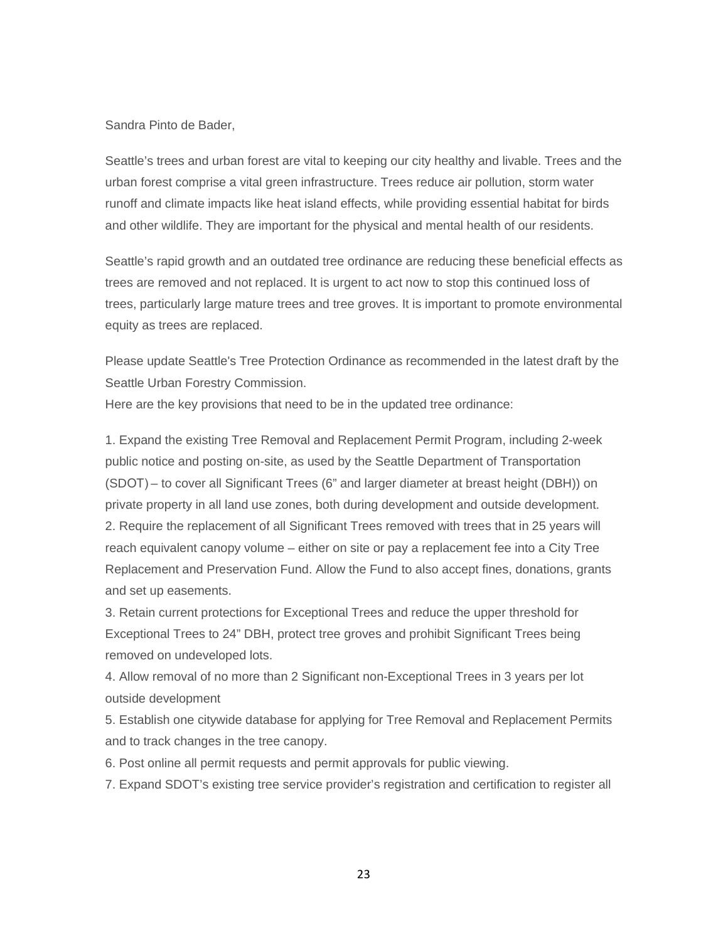## Sandra Pinto de Bader,

Seattle's trees and urban forest are vital to keeping our city healthy and livable. Trees and the urban forest comprise a vital green infrastructure. Trees reduce air pollution, storm water runoff and climate impacts like heat island effects, while providing essential habitat for birds and other wildlife. They are important for the physical and mental health of our residents.

Seattle's rapid growth and an outdated tree ordinance are reducing these beneficial effects as trees are removed and not replaced. It is urgent to act now to stop this continued loss of trees, particularly large mature trees and tree groves. It is important to promote environmental equity as trees are replaced.

Please update Seattle's Tree Protection Ordinance as recommended in the latest draft by the Seattle Urban Forestry Commission.

Here are the key provisions that need to be in the updated tree ordinance:

1. Expand the existing Tree Removal and Replacement Permit Program, including 2-week public notice and posting on-site, as used by the Seattle Department of Transportation (SDOT) – to cover all Significant Trees (6" and larger diameter at breast height (DBH)) on private property in all land use zones, both during development and outside development. 2. Require the replacement of all Significant Trees removed with trees that in 25 years will reach equivalent canopy volume – either on site or pay a replacement fee into a City Tree Replacement and Preservation Fund. Allow the Fund to also accept fines, donations, grants and set up easements.

3. Retain current protections for Exceptional Trees and reduce the upper threshold for Exceptional Trees to 24" DBH, protect tree groves and prohibit Significant Trees being removed on undeveloped lots.

4. Allow removal of no more than 2 Significant non-Exceptional Trees in 3 years per lot outside development

5. Establish one citywide database for applying for Tree Removal and Replacement Permits and to track changes in the tree canopy.

6. Post online all permit requests and permit approvals for public viewing.

7. Expand SDOT's existing tree service provider's registration and certification to register all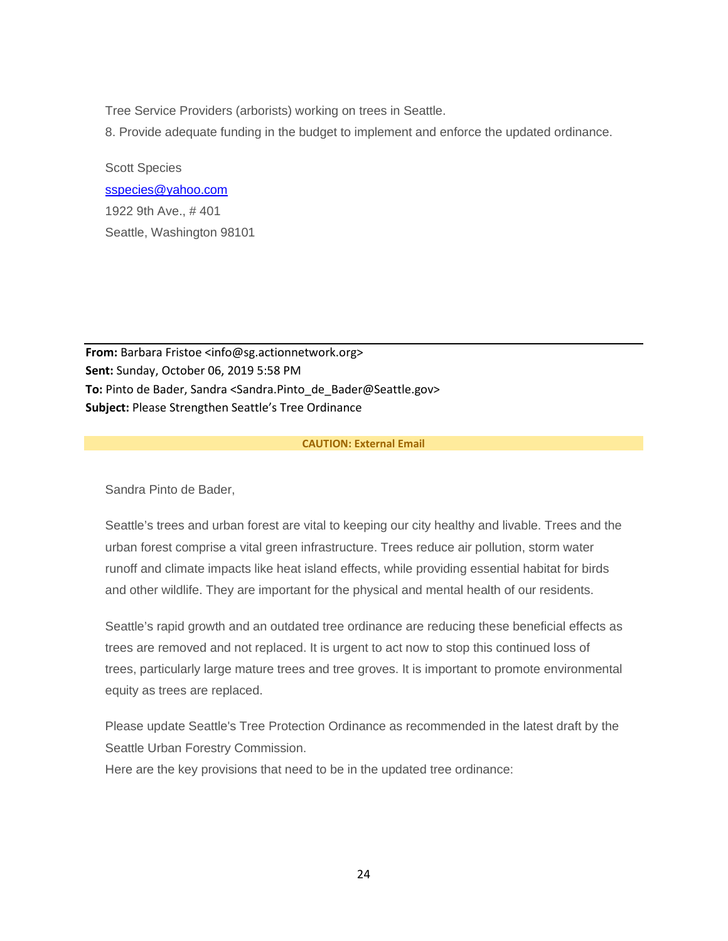Tree Service Providers (arborists) working on trees in Seattle.

8. Provide adequate funding in the budget to implement and enforce the updated ordinance.

Scott Species [sspecies@yahoo.com](mailto:sspecies@yahoo.com) 1922 9th Ave., # 401 Seattle, Washington 98101

From: Barbara Fristoe <info@sg.actionnetwork.org> **Sent:** Sunday, October 06, 2019 5:58 PM To: Pinto de Bader, Sandra <Sandra.Pinto de Bader@Seattle.gov> **Subject:** Please Strengthen Seattle's Tree Ordinance

## **CAUTION: External Email**

Sandra Pinto de Bader,

Seattle's trees and urban forest are vital to keeping our city healthy and livable. Trees and the urban forest comprise a vital green infrastructure. Trees reduce air pollution, storm water runoff and climate impacts like heat island effects, while providing essential habitat for birds and other wildlife. They are important for the physical and mental health of our residents.

Seattle's rapid growth and an outdated tree ordinance are reducing these beneficial effects as trees are removed and not replaced. It is urgent to act now to stop this continued loss of trees, particularly large mature trees and tree groves. It is important to promote environmental equity as trees are replaced.

Please update Seattle's Tree Protection Ordinance as recommended in the latest draft by the Seattle Urban Forestry Commission.

Here are the key provisions that need to be in the updated tree ordinance: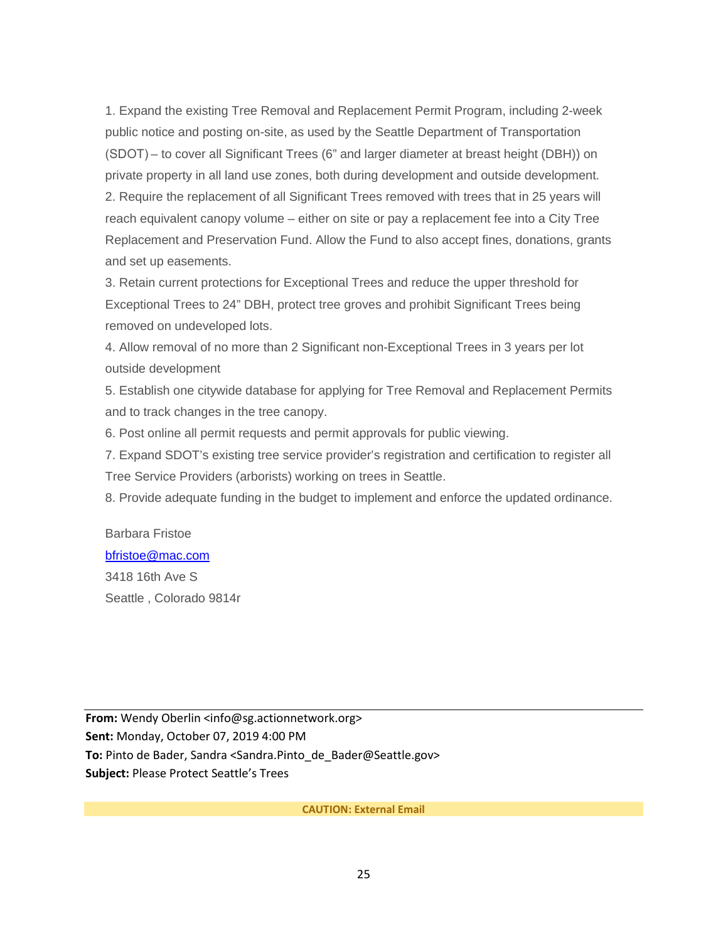1. Expand the existing Tree Removal and Replacement Permit Program, including 2-week public notice and posting on-site, as used by the Seattle Department of Transportation (SDOT) – to cover all Significant Trees (6" and larger diameter at breast height (DBH)) on private property in all land use zones, both during development and outside development. 2. Require the replacement of all Significant Trees removed with trees that in 25 years will reach equivalent canopy volume – either on site or pay a replacement fee into a City Tree Replacement and Preservation Fund. Allow the Fund to also accept fines, donations, grants and set up easements.

3. Retain current protections for Exceptional Trees and reduce the upper threshold for Exceptional Trees to 24" DBH, protect tree groves and prohibit Significant Trees being removed on undeveloped lots.

4. Allow removal of no more than 2 Significant non-Exceptional Trees in 3 years per lot outside development

5. Establish one citywide database for applying for Tree Removal and Replacement Permits and to track changes in the tree canopy.

6. Post online all permit requests and permit approvals for public viewing.

7. Expand SDOT's existing tree service provider's registration and certification to register all Tree Service Providers (arborists) working on trees in Seattle.

8. Provide adequate funding in the budget to implement and enforce the updated ordinance.

# Barbara Fristoe [bfristoe@mac.com](mailto:bfristoe@mac.com)

3418 16th Ave S Seattle , Colorado 9814r

**From:** Wendy Oberlin <info@sg.actionnetwork.org> **Sent:** Monday, October 07, 2019 4:00 PM To: Pinto de Bader, Sandra <Sandra.Pinto de Bader@Seattle.gov> **Subject:** Please Protect Seattle's Trees

**CAUTION: External Email**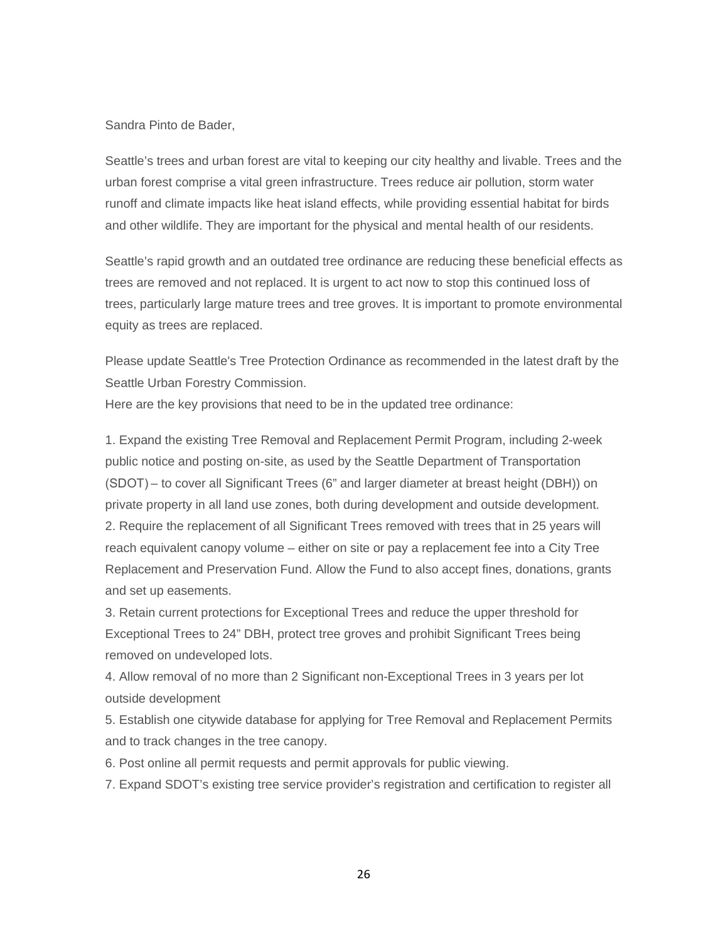#### Sandra Pinto de Bader,

Seattle's trees and urban forest are vital to keeping our city healthy and livable. Trees and the urban forest comprise a vital green infrastructure. Trees reduce air pollution, storm water runoff and climate impacts like heat island effects, while providing essential habitat for birds and other wildlife. They are important for the physical and mental health of our residents.

Seattle's rapid growth and an outdated tree ordinance are reducing these beneficial effects as trees are removed and not replaced. It is urgent to act now to stop this continued loss of trees, particularly large mature trees and tree groves. It is important to promote environmental equity as trees are replaced.

Please update Seattle's Tree Protection Ordinance as recommended in the latest draft by the Seattle Urban Forestry Commission.

Here are the key provisions that need to be in the updated tree ordinance:

1. Expand the existing Tree Removal and Replacement Permit Program, including 2-week public notice and posting on-site, as used by the Seattle Department of Transportation (SDOT) – to cover all Significant Trees (6" and larger diameter at breast height (DBH)) on private property in all land use zones, both during development and outside development. 2. Require the replacement of all Significant Trees removed with trees that in 25 years will reach equivalent canopy volume – either on site or pay a replacement fee into a City Tree Replacement and Preservation Fund. Allow the Fund to also accept fines, donations, grants and set up easements.

3. Retain current protections for Exceptional Trees and reduce the upper threshold for Exceptional Trees to 24" DBH, protect tree groves and prohibit Significant Trees being removed on undeveloped lots.

4. Allow removal of no more than 2 Significant non-Exceptional Trees in 3 years per lot outside development

5. Establish one citywide database for applying for Tree Removal and Replacement Permits and to track changes in the tree canopy.

6. Post online all permit requests and permit approvals for public viewing.

7. Expand SDOT's existing tree service provider's registration and certification to register all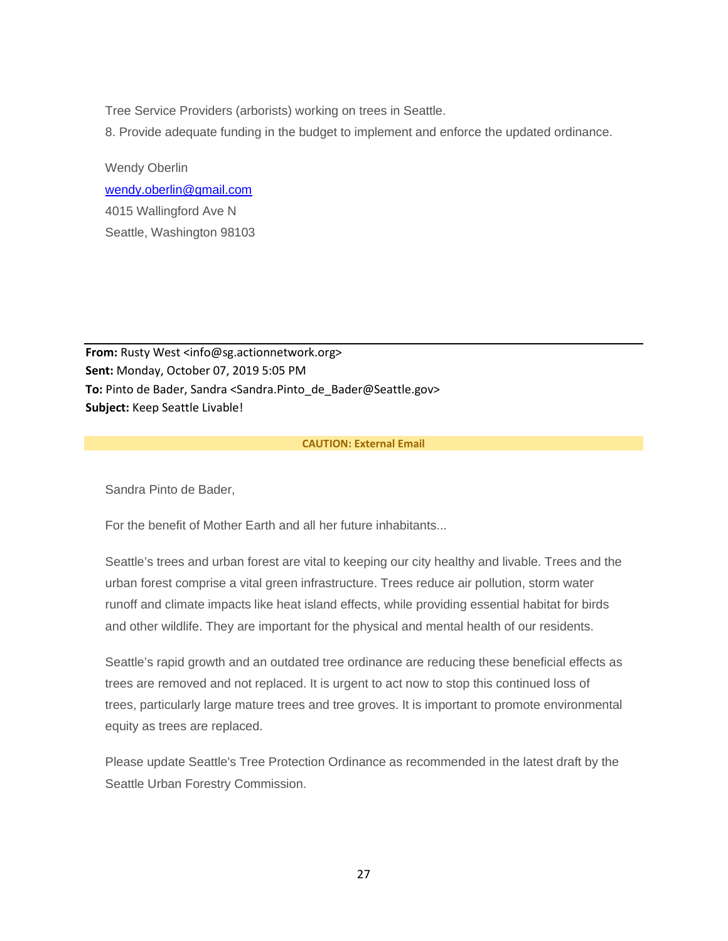Tree Service Providers (arborists) working on trees in Seattle.

8. Provide adequate funding in the budget to implement and enforce the updated ordinance.

Wendy Oberlin [wendy.oberlin@gmail.com](mailto:wendy.oberlin@gmail.com) 4015 Wallingford Ave N Seattle, Washington 98103

**From:** Rusty West <info@sg.actionnetwork.org> **Sent:** Monday, October 07, 2019 5:05 PM To: Pinto de Bader, Sandra <Sandra.Pinto de Bader@Seattle.gov> **Subject:** Keep Seattle Livable!

## **CAUTION: External Email**

Sandra Pinto de Bader,

For the benefit of Mother Earth and all her future inhabitants...

Seattle's trees and urban forest are vital to keeping our city healthy and livable. Trees and the urban forest comprise a vital green infrastructure. Trees reduce air pollution, storm water runoff and climate impacts like heat island effects, while providing essential habitat for birds and other wildlife. They are important for the physical and mental health of our residents.

Seattle's rapid growth and an outdated tree ordinance are reducing these beneficial effects as trees are removed and not replaced. It is urgent to act now to stop this continued loss of trees, particularly large mature trees and tree groves. It is important to promote environmental equity as trees are replaced.

Please update Seattle's Tree Protection Ordinance as recommended in the latest draft by the Seattle Urban Forestry Commission.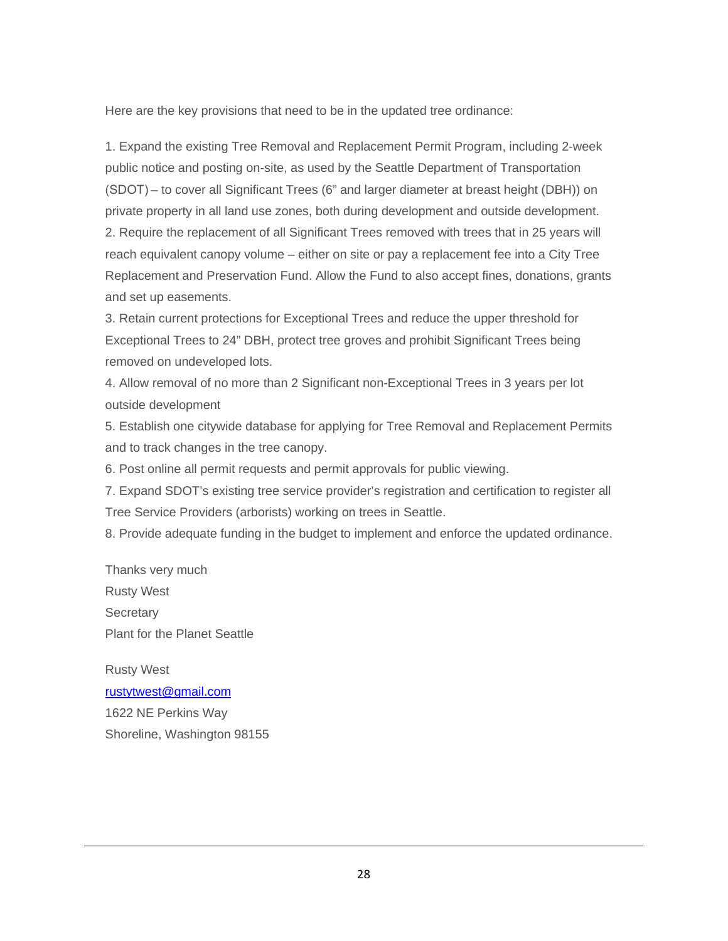Here are the key provisions that need to be in the updated tree ordinance:

1. Expand the existing Tree Removal and Replacement Permit Program, including 2-week public notice and posting on-site, as used by the Seattle Department of Transportation (SDOT) – to cover all Significant Trees (6" and larger diameter at breast height (DBH)) on private property in all land use zones, both during development and outside development. 2. Require the replacement of all Significant Trees removed with trees that in 25 years will reach equivalent canopy volume – either on site or pay a replacement fee into a City Tree Replacement and Preservation Fund. Allow the Fund to also accept fines, donations, grants and set up easements.

3. Retain current protections for Exceptional Trees and reduce the upper threshold for Exceptional Trees to 24" DBH, protect tree groves and prohibit Significant Trees being removed on undeveloped lots.

4. Allow removal of no more than 2 Significant non-Exceptional Trees in 3 years per lot outside development

5. Establish one citywide database for applying for Tree Removal and Replacement Permits and to track changes in the tree canopy.

6. Post online all permit requests and permit approvals for public viewing.

7. Expand SDOT's existing tree service provider's registration and certification to register all Tree Service Providers (arborists) working on trees in Seattle.

8. Provide adequate funding in the budget to implement and enforce the updated ordinance.

Thanks very much Rusty West **Secretary** Plant for the Planet Seattle

Rusty West [rustytwest@gmail.com](mailto:rustytwest@gmail.com)

1622 NE Perkins Way Shoreline, Washington 98155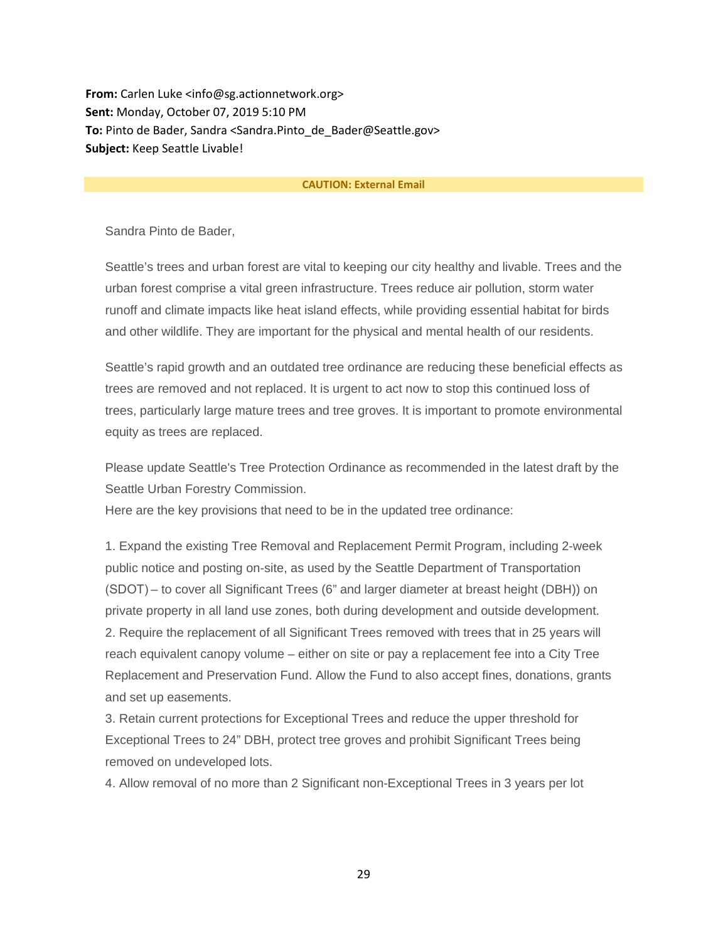**From:** Carlen Luke <info@sg.actionnetwork.org> **Sent:** Monday, October 07, 2019 5:10 PM **To:** Pinto de Bader, Sandra <Sandra.Pinto\_de\_Bader@Seattle.gov> **Subject:** Keep Seattle Livable!

#### **CAUTION: External Email**

Sandra Pinto de Bader,

Seattle's trees and urban forest are vital to keeping our city healthy and livable. Trees and the urban forest comprise a vital green infrastructure. Trees reduce air pollution, storm water runoff and climate impacts like heat island effects, while providing essential habitat for birds and other wildlife. They are important for the physical and mental health of our residents.

Seattle's rapid growth and an outdated tree ordinance are reducing these beneficial effects as trees are removed and not replaced. It is urgent to act now to stop this continued loss of trees, particularly large mature trees and tree groves. It is important to promote environmental equity as trees are replaced.

Please update Seattle's Tree Protection Ordinance as recommended in the latest draft by the Seattle Urban Forestry Commission.

Here are the key provisions that need to be in the updated tree ordinance:

1. Expand the existing Tree Removal and Replacement Permit Program, including 2-week public notice and posting on-site, as used by the Seattle Department of Transportation (SDOT) – to cover all Significant Trees (6" and larger diameter at breast height (DBH)) on private property in all land use zones, both during development and outside development. 2. Require the replacement of all Significant Trees removed with trees that in 25 years will reach equivalent canopy volume – either on site or pay a replacement fee into a City Tree Replacement and Preservation Fund. Allow the Fund to also accept fines, donations, grants and set up easements.

3. Retain current protections for Exceptional Trees and reduce the upper threshold for Exceptional Trees to 24" DBH, protect tree groves and prohibit Significant Trees being removed on undeveloped lots.

4. Allow removal of no more than 2 Significant non-Exceptional Trees in 3 years per lot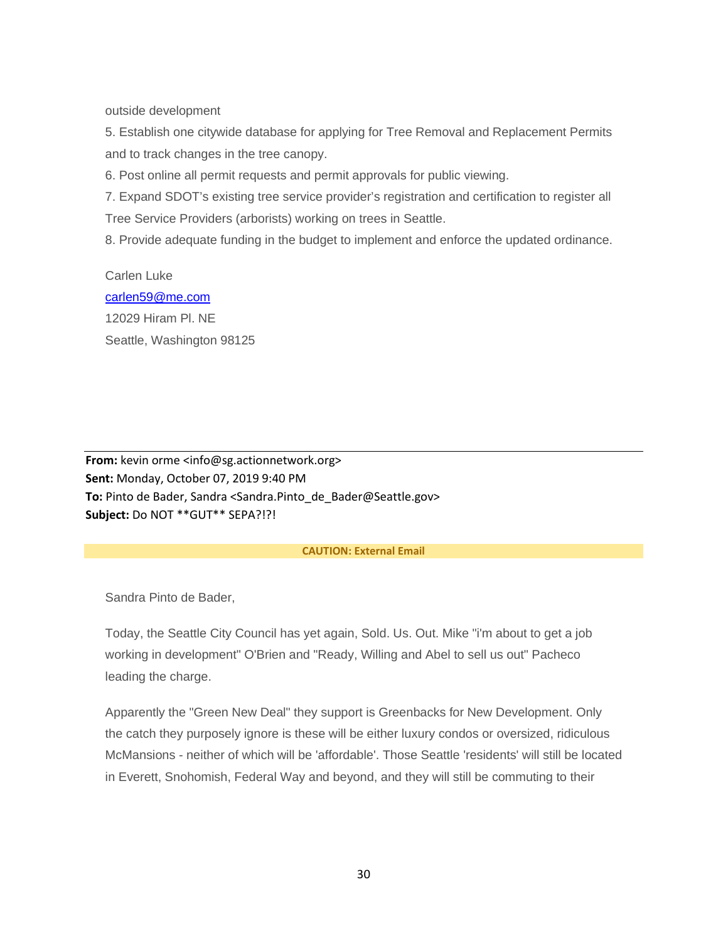outside development

5. Establish one citywide database for applying for Tree Removal and Replacement Permits and to track changes in the tree canopy.

6. Post online all permit requests and permit approvals for public viewing.

7. Expand SDOT's existing tree service provider's registration and certification to register all Tree Service Providers (arborists) working on trees in Seattle.

8. Provide adequate funding in the budget to implement and enforce the updated ordinance.

Carlen Luke [carlen59@me.com](mailto:carlen59@me.com) 12029 Hiram Pl. NE Seattle, Washington 98125

**From:** kevin orme <info@sg.actionnetwork.org> **Sent:** Monday, October 07, 2019 9:40 PM **To:** Pinto de Bader, Sandra <Sandra.Pinto\_de\_Bader@Seattle.gov> **Subject:** Do NOT \*\*GUT\*\* SEPA?!?!

#### **CAUTION: External Email**

Sandra Pinto de Bader,

Today, the Seattle City Council has yet again, Sold. Us. Out. Mike "i'm about to get a job working in development" O'Brien and "Ready, Willing and Abel to sell us out" Pacheco leading the charge.

Apparently the "Green New Deal" they support is Greenbacks for New Development. Only the catch they purposely ignore is these will be either luxury condos or oversized, ridiculous McMansions - neither of which will be 'affordable'. Those Seattle 'residents' will still be located in Everett, Snohomish, Federal Way and beyond, and they will still be commuting to their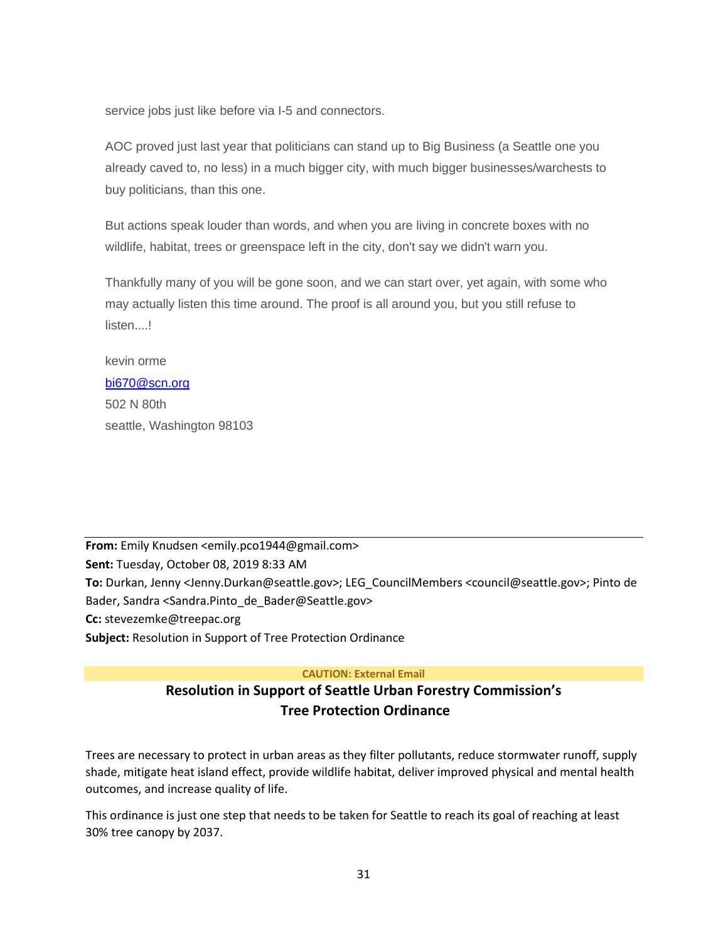service jobs just like before via I-5 and connectors.

AOC proved just last year that politicians can stand up to Big Business (a Seattle one you already caved to, no less) in a much bigger city, with much bigger businesses/warchests to buy politicians, than this one.

But actions speak louder than words, and when you are living in concrete boxes with no wildlife, habitat, trees or greenspace left in the city, don't say we didn't warn you.

Thankfully many of you will be gone soon, and we can start over, yet again, with some who may actually listen this time around. The proof is all around you, but you still refuse to listen....!

kevin orme [bi670@scn.org](mailto:bi670@scn.org) 502 N 80th seattle, Washington 98103

**From:** Emily Knudsen <emily.pco1944@gmail.com> **Sent:** Tuesday, October 08, 2019 8:33 AM **To:** Durkan, Jenny <Jenny.Durkan@seattle.gov>; LEG\_CouncilMembers <council@seattle.gov>; Pinto de Bader, Sandra <Sandra.Pinto\_de\_Bader@Seattle.gov> **Cc:** stevezemke@treepac.org **Subject:** Resolution in Support of Tree Protection Ordinance

## **CAUTION: External Email**

# **Resolution in Support of Seattle Urban Forestry Commission's Tree Protection Ordinance**

Trees are necessary to protect in urban areas as they filter pollutants, reduce stormwater runoff, supply shade, mitigate heat island effect, provide wildlife habitat, deliver improved physical and mental health outcomes, and increase quality of life.

This ordinance is just one step that needs to be taken for Seattle to reach its goal of reaching at least 30% tree canopy by 2037.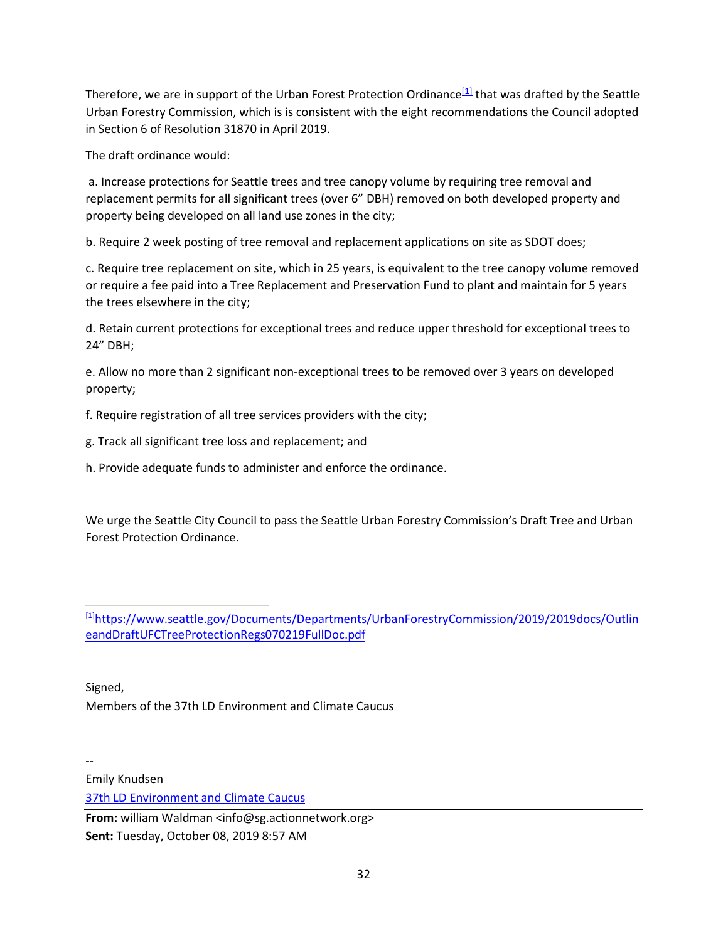<span id="page-31-1"></span>Therefore, we are in support of the Urban Forest Protection Ordinance<sup>[1]</sup> that was drafted by the Seattle Urban Forestry Commission, which is is consistent with the eight recommendations the Council adopted in Section 6 of Resolution 31870 in April 2019.

The draft ordinance would:

a. Increase protections for Seattle trees and tree canopy volume by requiring tree removal and replacement permits for all significant trees (over 6" DBH) removed on both developed property and property being developed on all land use zones in the city;

b. Require 2 week posting of tree removal and replacement applications on site as SDOT does;

c. Require tree replacement on site, which in 25 years, is equivalent to the tree canopy volume removed or require a fee paid into a Tree Replacement and Preservation Fund to plant and maintain for 5 years the trees elsewhere in the city;

d. Retain current protections for exceptional trees and reduce upper threshold for exceptional trees to 24" DBH;

e. Allow no more than 2 significant non-exceptional trees to be removed over 3 years on developed property;

f. Require registration of all tree services providers with the city;

g. Track all significant tree loss and replacement; and

h. Provide adequate funds to administer and enforce the ordinance.

We urge the Seattle City Council to pass the Seattle Urban Forestry Commission's Draft Tree and Urban Forest Protection Ordinance.

<span id="page-31-0"></span>[\[1\]](#page-31-1)[https://www.seattle.gov/Documents/Departments/UrbanForestryCommission/2019/2019docs/Outlin](https://www.seattle.gov/Documents/Departments/UrbanForestryCommission/2019/2019docs/OutlineandDraftUFCTreeProtectionRegs070219FullDoc.pdf) [eandDraftUFCTreeProtectionRegs070219FullDoc.pdf](https://www.seattle.gov/Documents/Departments/UrbanForestryCommission/2019/2019docs/OutlineandDraftUFCTreeProtectionRegs070219FullDoc.pdf)

Signed, Members of the 37th LD Environment and Climate Caucus

Emily Knudsen [37th LD Environment and Climate Caucus](https://www.37environmentandclimatecaucus.org/)

--

**From:** william Waldman <info@sg.actionnetwork.org> **Sent:** Tuesday, October 08, 2019 8:57 AM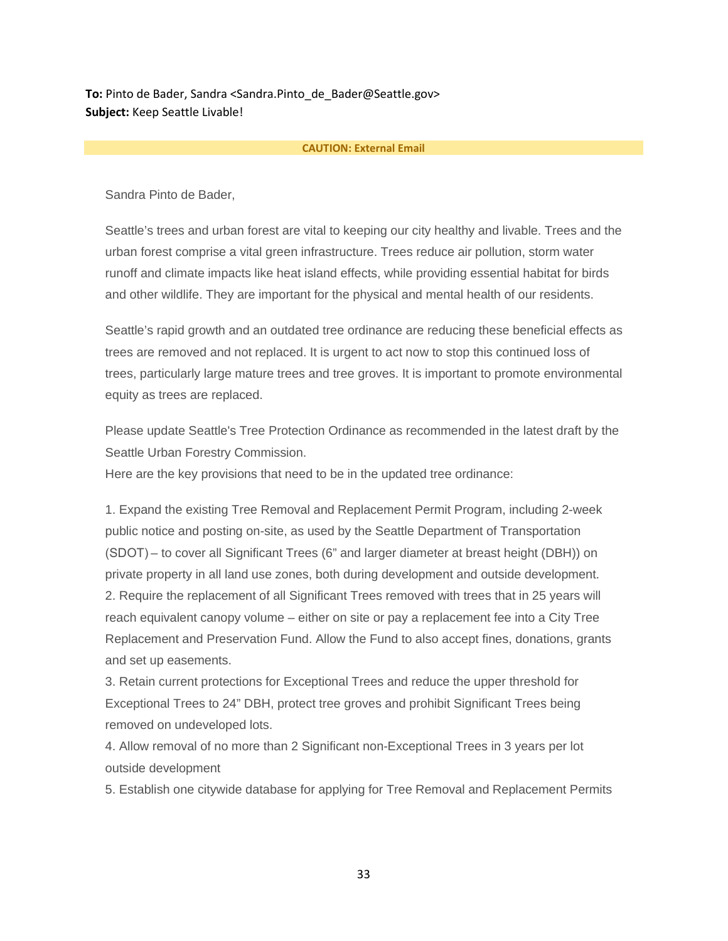**To:** Pinto de Bader, Sandra <Sandra.Pinto de Bader@Seattle.gov> **Subject:** Keep Seattle Livable!

#### **CAUTION: External Email**

Sandra Pinto de Bader,

Seattle's trees and urban forest are vital to keeping our city healthy and livable. Trees and the urban forest comprise a vital green infrastructure. Trees reduce air pollution, storm water runoff and climate impacts like heat island effects, while providing essential habitat for birds and other wildlife. They are important for the physical and mental health of our residents.

Seattle's rapid growth and an outdated tree ordinance are reducing these beneficial effects as trees are removed and not replaced. It is urgent to act now to stop this continued loss of trees, particularly large mature trees and tree groves. It is important to promote environmental equity as trees are replaced.

Please update Seattle's Tree Protection Ordinance as recommended in the latest draft by the Seattle Urban Forestry Commission.

Here are the key provisions that need to be in the updated tree ordinance:

1. Expand the existing Tree Removal and Replacement Permit Program, including 2-week public notice and posting on-site, as used by the Seattle Department of Transportation (SDOT) – to cover all Significant Trees (6" and larger diameter at breast height (DBH)) on private property in all land use zones, both during development and outside development. 2. Require the replacement of all Significant Trees removed with trees that in 25 years will reach equivalent canopy volume – either on site or pay a replacement fee into a City Tree Replacement and Preservation Fund. Allow the Fund to also accept fines, donations, grants and set up easements.

3. Retain current protections for Exceptional Trees and reduce the upper threshold for Exceptional Trees to 24" DBH, protect tree groves and prohibit Significant Trees being removed on undeveloped lots.

4. Allow removal of no more than 2 Significant non-Exceptional Trees in 3 years per lot outside development

5. Establish one citywide database for applying for Tree Removal and Replacement Permits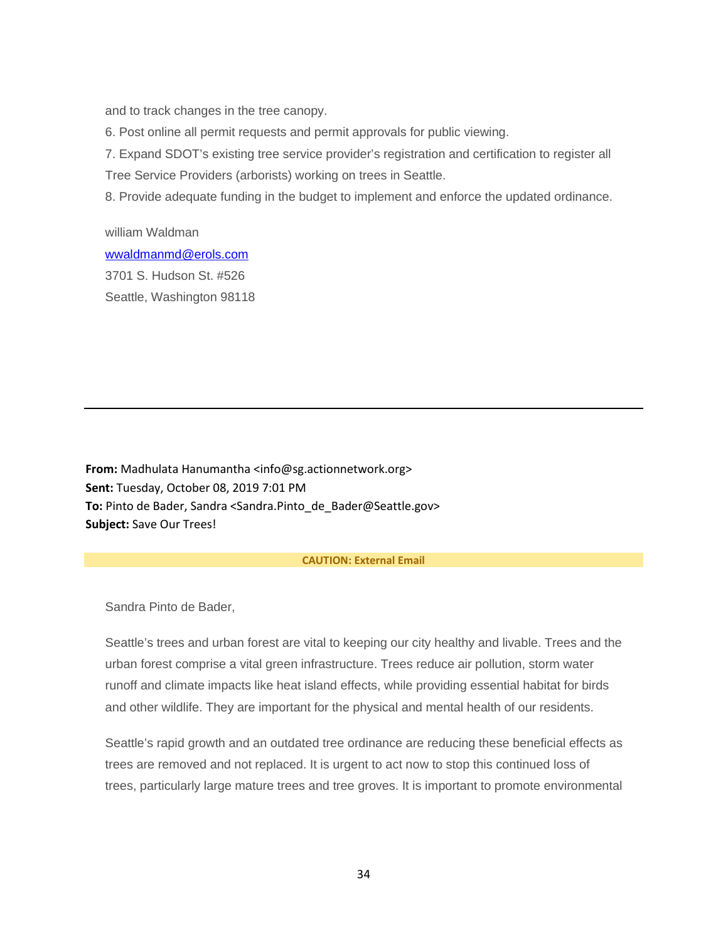and to track changes in the tree canopy.

6. Post online all permit requests and permit approvals for public viewing.

7. Expand SDOT's existing tree service provider's registration and certification to register all Tree Service Providers (arborists) working on trees in Seattle.

8. Provide adequate funding in the budget to implement and enforce the updated ordinance.

william Waldman [wwaldmanmd@erols.com](mailto:wwaldmanmd@erols.com) 3701 S. Hudson St. #526 Seattle, Washington 98118

**From:** Madhulata Hanumantha <info@sg.actionnetwork.org> **Sent:** Tuesday, October 08, 2019 7:01 PM **To:** Pinto de Bader, Sandra <Sandra.Pinto\_de\_Bader@Seattle.gov> **Subject:** Save Our Trees!

#### **CAUTION: External Email**

Sandra Pinto de Bader,

Seattle's trees and urban forest are vital to keeping our city healthy and livable. Trees and the urban forest comprise a vital green infrastructure. Trees reduce air pollution, storm water runoff and climate impacts like heat island effects, while providing essential habitat for birds and other wildlife. They are important for the physical and mental health of our residents.

Seattle's rapid growth and an outdated tree ordinance are reducing these beneficial effects as trees are removed and not replaced. It is urgent to act now to stop this continued loss of trees, particularly large mature trees and tree groves. It is important to promote environmental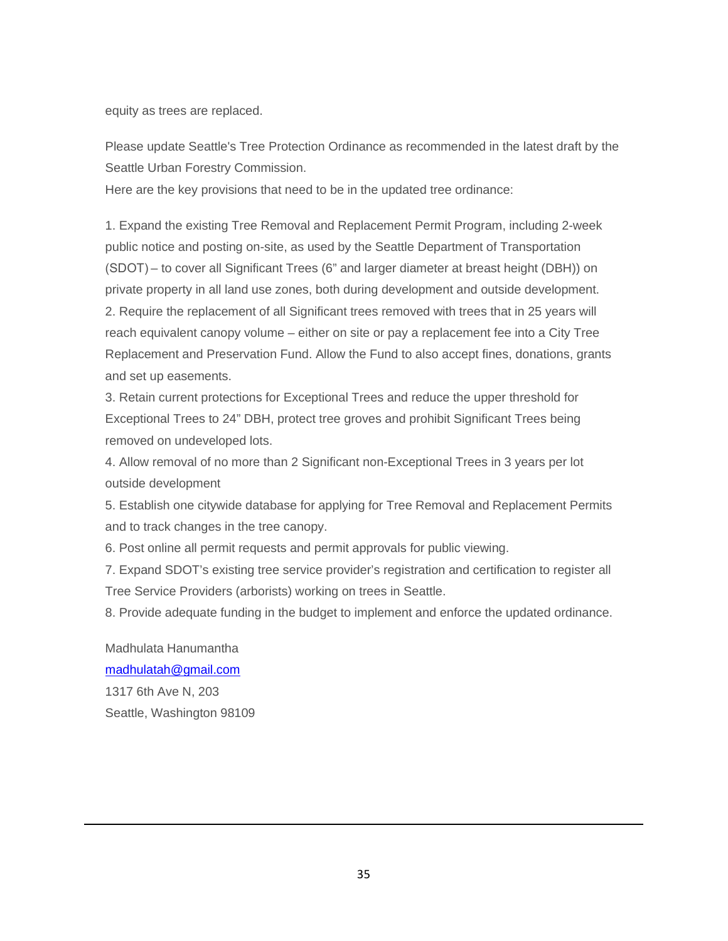equity as trees are replaced.

Please update Seattle's Tree Protection Ordinance as recommended in the latest draft by the Seattle Urban Forestry Commission.

Here are the key provisions that need to be in the updated tree ordinance:

1. Expand the existing Tree Removal and Replacement Permit Program, including 2-week public notice and posting on-site, as used by the Seattle Department of Transportation (SDOT) – to cover all Significant Trees (6" and larger diameter at breast height (DBH)) on private property in all land use zones, both during development and outside development. 2. Require the replacement of all Significant trees removed with trees that in 25 years will reach equivalent canopy volume – either on site or pay a replacement fee into a City Tree Replacement and Preservation Fund. Allow the Fund to also accept fines, donations, grants and set up easements.

3. Retain current protections for Exceptional Trees and reduce the upper threshold for Exceptional Trees to 24" DBH, protect tree groves and prohibit Significant Trees being removed on undeveloped lots.

4. Allow removal of no more than 2 Significant non-Exceptional Trees in 3 years per lot outside development

5. Establish one citywide database for applying for Tree Removal and Replacement Permits and to track changes in the tree canopy.

6. Post online all permit requests and permit approvals for public viewing.

7. Expand SDOT's existing tree service provider's registration and certification to register all Tree Service Providers (arborists) working on trees in Seattle.

8. Provide adequate funding in the budget to implement and enforce the updated ordinance.

Madhulata Hanumantha [madhulatah@gmail.com](mailto:madhulatah@gmail.com) 1317 6th Ave N, 203 Seattle, Washington 98109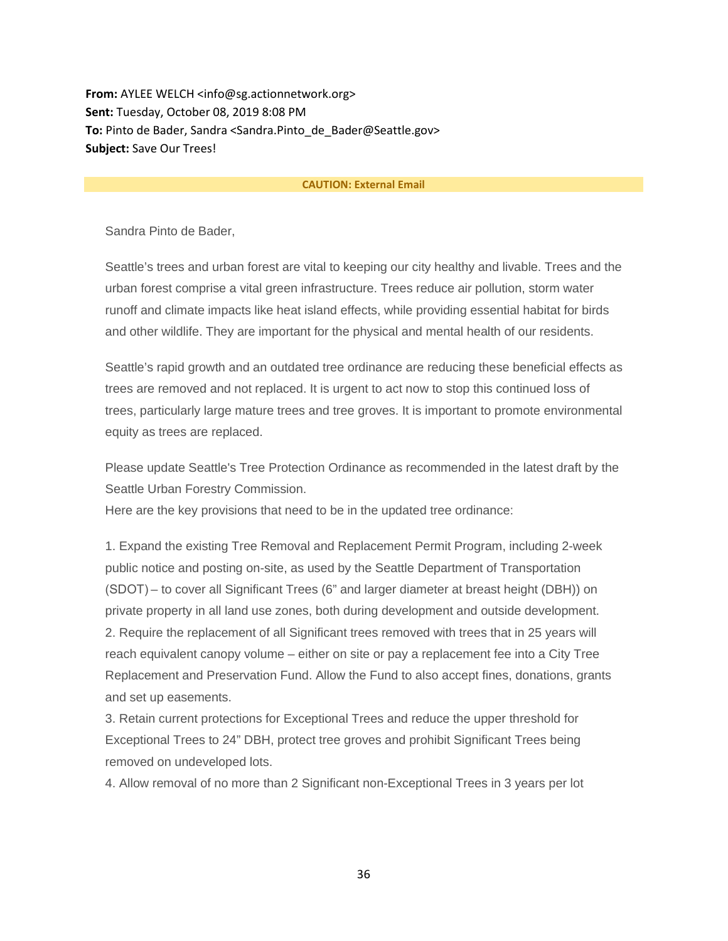**From:** AYLEE WELCH <info@sg.actionnetwork.org> **Sent:** Tuesday, October 08, 2019 8:08 PM **To:** Pinto de Bader, Sandra <Sandra.Pinto\_de\_Bader@Seattle.gov> **Subject:** Save Our Trees!

#### **CAUTION: External Email**

Sandra Pinto de Bader,

Seattle's trees and urban forest are vital to keeping our city healthy and livable. Trees and the urban forest comprise a vital green infrastructure. Trees reduce air pollution, storm water runoff and climate impacts like heat island effects, while providing essential habitat for birds and other wildlife. They are important for the physical and mental health of our residents.

Seattle's rapid growth and an outdated tree ordinance are reducing these beneficial effects as trees are removed and not replaced. It is urgent to act now to stop this continued loss of trees, particularly large mature trees and tree groves. It is important to promote environmental equity as trees are replaced.

Please update Seattle's Tree Protection Ordinance as recommended in the latest draft by the Seattle Urban Forestry Commission.

Here are the key provisions that need to be in the updated tree ordinance:

1. Expand the existing Tree Removal and Replacement Permit Program, including 2-week public notice and posting on-site, as used by the Seattle Department of Transportation (SDOT) – to cover all Significant Trees (6" and larger diameter at breast height (DBH)) on private property in all land use zones, both during development and outside development. 2. Require the replacement of all Significant trees removed with trees that in 25 years will reach equivalent canopy volume – either on site or pay a replacement fee into a City Tree Replacement and Preservation Fund. Allow the Fund to also accept fines, donations, grants and set up easements.

3. Retain current protections for Exceptional Trees and reduce the upper threshold for Exceptional Trees to 24" DBH, protect tree groves and prohibit Significant Trees being removed on undeveloped lots.

4. Allow removal of no more than 2 Significant non-Exceptional Trees in 3 years per lot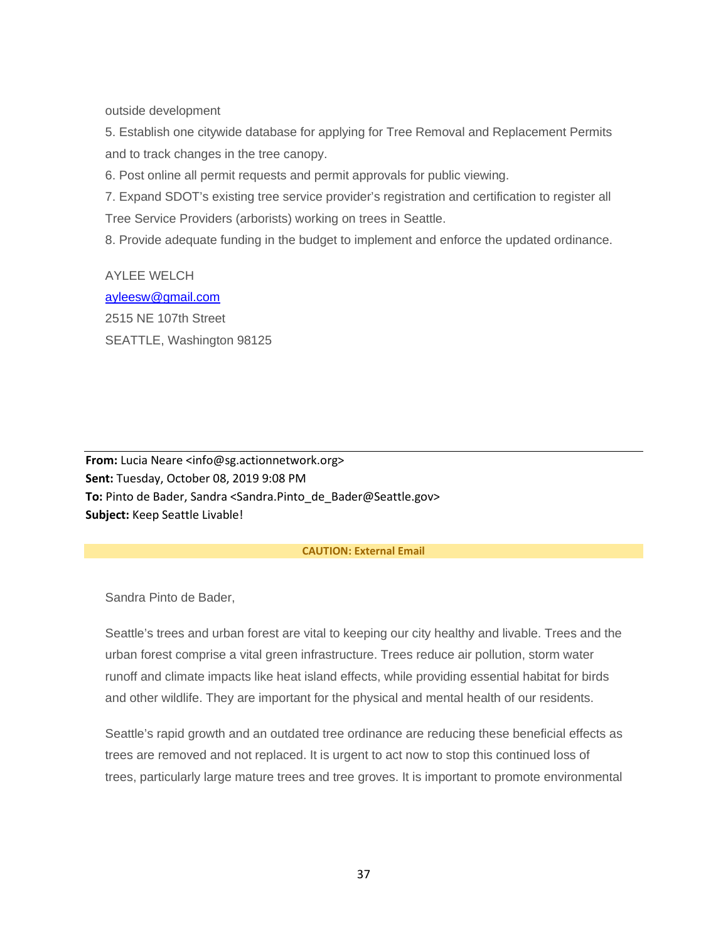outside development

5. Establish one citywide database for applying for Tree Removal and Replacement Permits and to track changes in the tree canopy.

6. Post online all permit requests and permit approvals for public viewing.

7. Expand SDOT's existing tree service provider's registration and certification to register all Tree Service Providers (arborists) working on trees in Seattle.

8. Provide adequate funding in the budget to implement and enforce the updated ordinance.

AYLEE WELCH [ayleesw@gmail.com](mailto:ayleesw@gmail.com) 2515 NE 107th Street SEATTLE, Washington 98125

**From:** Lucia Neare <info@sg.actionnetwork.org> **Sent:** Tuesday, October 08, 2019 9:08 PM **To:** Pinto de Bader, Sandra <Sandra.Pinto\_de\_Bader@Seattle.gov> **Subject:** Keep Seattle Livable!

#### **CAUTION: External Email**

Sandra Pinto de Bader,

Seattle's trees and urban forest are vital to keeping our city healthy and livable. Trees and the urban forest comprise a vital green infrastructure. Trees reduce air pollution, storm water runoff and climate impacts like heat island effects, while providing essential habitat for birds and other wildlife. They are important for the physical and mental health of our residents.

Seattle's rapid growth and an outdated tree ordinance are reducing these beneficial effects as trees are removed and not replaced. It is urgent to act now to stop this continued loss of trees, particularly large mature trees and tree groves. It is important to promote environmental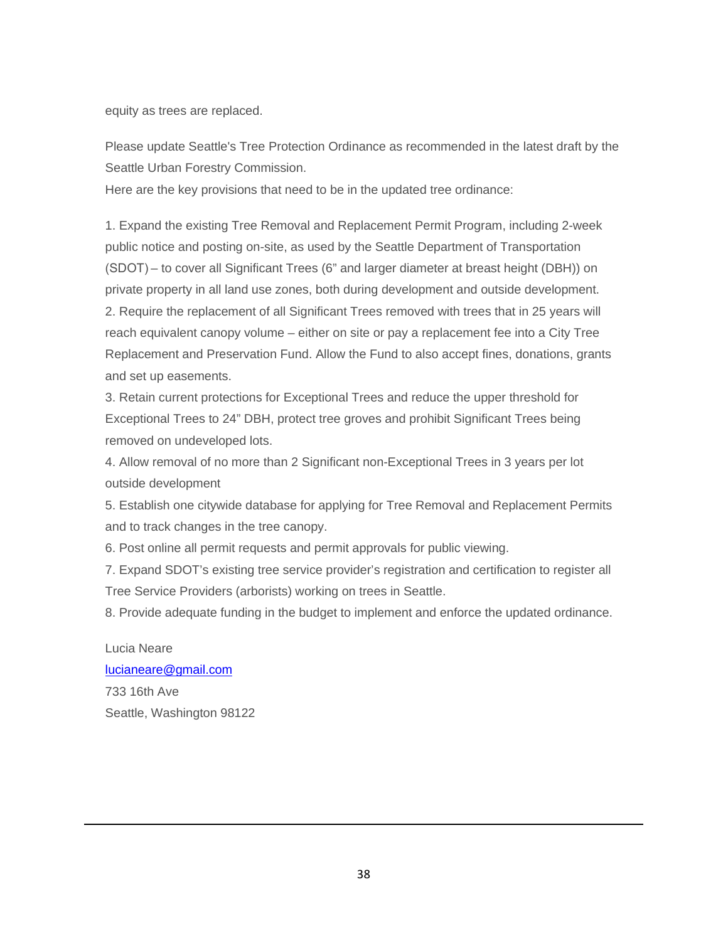equity as trees are replaced.

Please update Seattle's Tree Protection Ordinance as recommended in the latest draft by the Seattle Urban Forestry Commission.

Here are the key provisions that need to be in the updated tree ordinance:

1. Expand the existing Tree Removal and Replacement Permit Program, including 2-week public notice and posting on-site, as used by the Seattle Department of Transportation (SDOT) – to cover all Significant Trees (6" and larger diameter at breast height (DBH)) on private property in all land use zones, both during development and outside development. 2. Require the replacement of all Significant Trees removed with trees that in 25 years will reach equivalent canopy volume – either on site or pay a replacement fee into a City Tree Replacement and Preservation Fund. Allow the Fund to also accept fines, donations, grants and set up easements.

3. Retain current protections for Exceptional Trees and reduce the upper threshold for Exceptional Trees to 24" DBH, protect tree groves and prohibit Significant Trees being removed on undeveloped lots.

4. Allow removal of no more than 2 Significant non-Exceptional Trees in 3 years per lot outside development

5. Establish one citywide database for applying for Tree Removal and Replacement Permits and to track changes in the tree canopy.

6. Post online all permit requests and permit approvals for public viewing.

7. Expand SDOT's existing tree service provider's registration and certification to register all Tree Service Providers (arborists) working on trees in Seattle.

8. Provide adequate funding in the budget to implement and enforce the updated ordinance.

Lucia Neare [lucianeare@gmail.com](mailto:lucianeare@gmail.com) 733 16th Ave Seattle, Washington 98122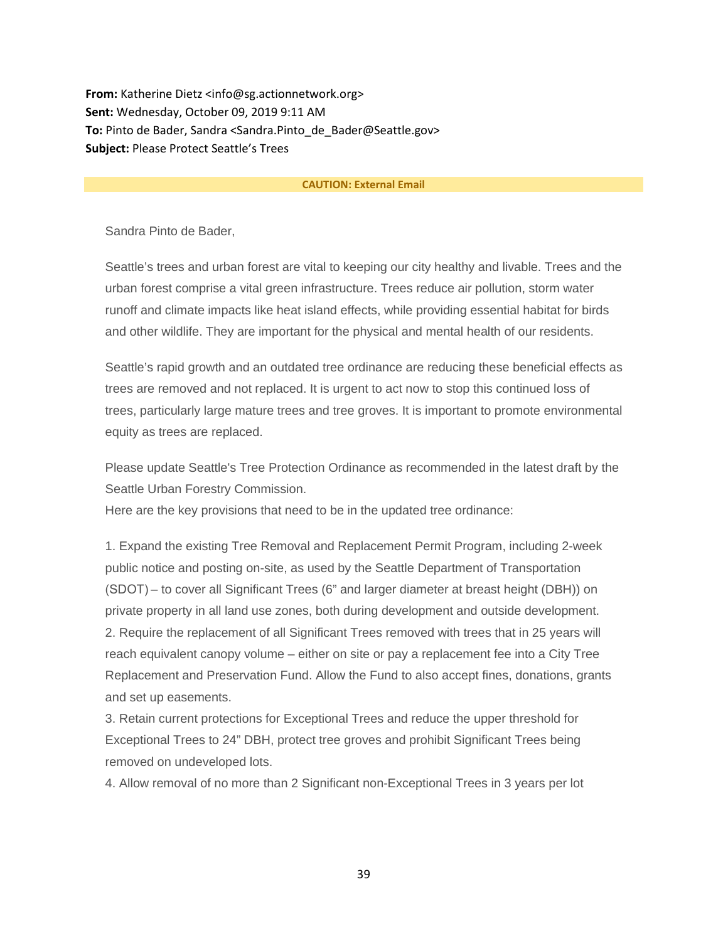**From:** Katherine Dietz <info@sg.actionnetwork.org> **Sent:** Wednesday, October 09, 2019 9:11 AM **To:** Pinto de Bader, Sandra <Sandra.Pinto\_de\_Bader@Seattle.gov> **Subject:** Please Protect Seattle's Trees

#### **CAUTION: External Email**

Sandra Pinto de Bader,

Seattle's trees and urban forest are vital to keeping our city healthy and livable. Trees and the urban forest comprise a vital green infrastructure. Trees reduce air pollution, storm water runoff and climate impacts like heat island effects, while providing essential habitat for birds and other wildlife. They are important for the physical and mental health of our residents.

Seattle's rapid growth and an outdated tree ordinance are reducing these beneficial effects as trees are removed and not replaced. It is urgent to act now to stop this continued loss of trees, particularly large mature trees and tree groves. It is important to promote environmental equity as trees are replaced.

Please update Seattle's Tree Protection Ordinance as recommended in the latest draft by the Seattle Urban Forestry Commission.

Here are the key provisions that need to be in the updated tree ordinance:

1. Expand the existing Tree Removal and Replacement Permit Program, including 2-week public notice and posting on-site, as used by the Seattle Department of Transportation (SDOT) – to cover all Significant Trees (6" and larger diameter at breast height (DBH)) on private property in all land use zones, both during development and outside development. 2. Require the replacement of all Significant Trees removed with trees that in 25 years will reach equivalent canopy volume – either on site or pay a replacement fee into a City Tree Replacement and Preservation Fund. Allow the Fund to also accept fines, donations, grants and set up easements.

3. Retain current protections for Exceptional Trees and reduce the upper threshold for Exceptional Trees to 24" DBH, protect tree groves and prohibit Significant Trees being removed on undeveloped lots.

4. Allow removal of no more than 2 Significant non-Exceptional Trees in 3 years per lot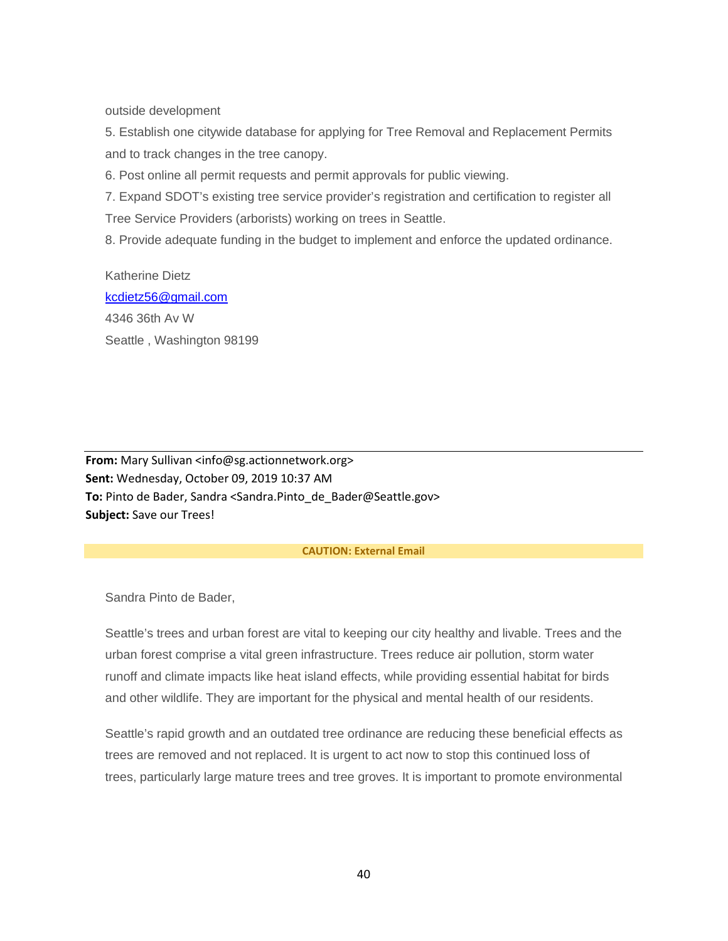outside development

5. Establish one citywide database for applying for Tree Removal and Replacement Permits and to track changes in the tree canopy.

6. Post online all permit requests and permit approvals for public viewing.

7. Expand SDOT's existing tree service provider's registration and certification to register all Tree Service Providers (arborists) working on trees in Seattle.

8. Provide adequate funding in the budget to implement and enforce the updated ordinance.

Katherine Dietz [kcdietz56@gmail.com](mailto:kcdietz56@gmail.com) 4346 36th Av W Seattle , Washington 98199

**From:** Mary Sullivan <info@sg.actionnetwork.org> **Sent:** Wednesday, October 09, 2019 10:37 AM **To:** Pinto de Bader, Sandra <Sandra.Pinto\_de\_Bader@Seattle.gov> **Subject:** Save our Trees!

#### **CAUTION: External Email**

Sandra Pinto de Bader,

Seattle's trees and urban forest are vital to keeping our city healthy and livable. Trees and the urban forest comprise a vital green infrastructure. Trees reduce air pollution, storm water runoff and climate impacts like heat island effects, while providing essential habitat for birds and other wildlife. They are important for the physical and mental health of our residents.

Seattle's rapid growth and an outdated tree ordinance are reducing these beneficial effects as trees are removed and not replaced. It is urgent to act now to stop this continued loss of trees, particularly large mature trees and tree groves. It is important to promote environmental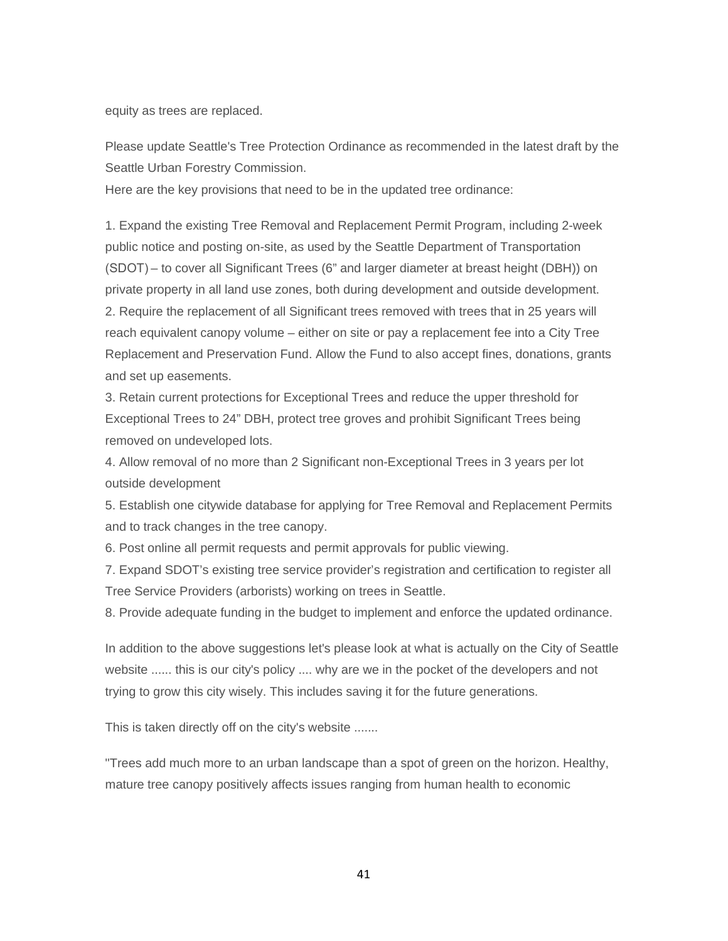equity as trees are replaced.

Please update Seattle's Tree Protection Ordinance as recommended in the latest draft by the Seattle Urban Forestry Commission.

Here are the key provisions that need to be in the updated tree ordinance:

1. Expand the existing Tree Removal and Replacement Permit Program, including 2-week public notice and posting on-site, as used by the Seattle Department of Transportation (SDOT) – to cover all Significant Trees (6" and larger diameter at breast height (DBH)) on private property in all land use zones, both during development and outside development. 2. Require the replacement of all Significant trees removed with trees that in 25 years will reach equivalent canopy volume – either on site or pay a replacement fee into a City Tree Replacement and Preservation Fund. Allow the Fund to also accept fines, donations, grants and set up easements.

3. Retain current protections for Exceptional Trees and reduce the upper threshold for Exceptional Trees to 24" DBH, protect tree groves and prohibit Significant Trees being removed on undeveloped lots.

4. Allow removal of no more than 2 Significant non-Exceptional Trees in 3 years per lot outside development

5. Establish one citywide database for applying for Tree Removal and Replacement Permits and to track changes in the tree canopy.

6. Post online all permit requests and permit approvals for public viewing.

7. Expand SDOT's existing tree service provider's registration and certification to register all Tree Service Providers (arborists) working on trees in Seattle.

8. Provide adequate funding in the budget to implement and enforce the updated ordinance.

In addition to the above suggestions let's please look at what is actually on the City of Seattle website ...... this is our city's policy .... why are we in the pocket of the developers and not trying to grow this city wisely. This includes saving it for the future generations.

This is taken directly off on the city's website .......

"Trees add much more to an urban landscape than a spot of green on the horizon. Healthy, mature tree canopy positively affects issues ranging from human health to economic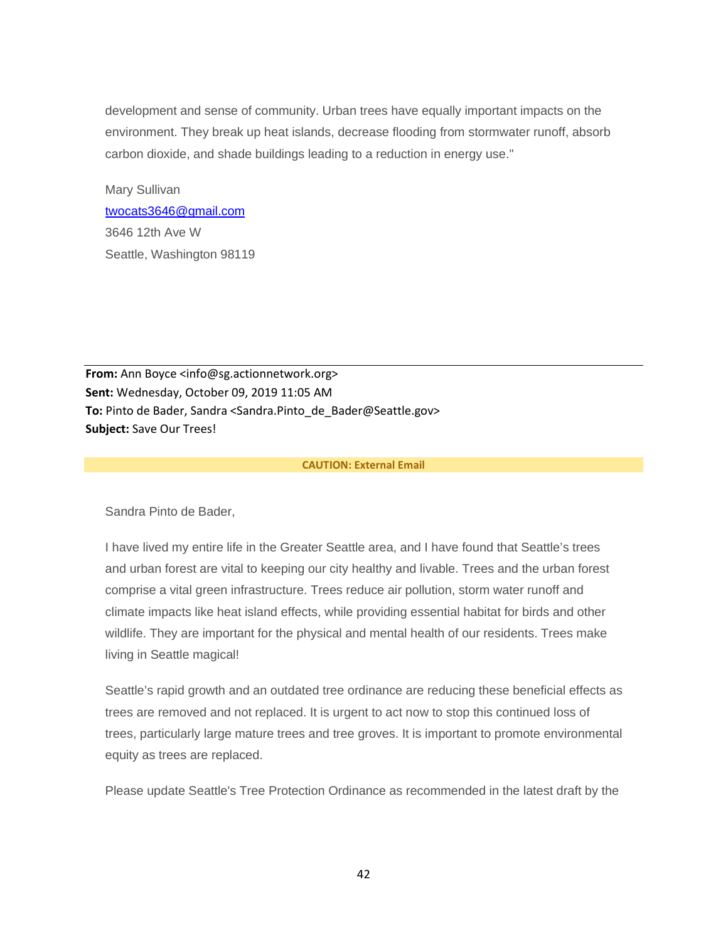development and sense of community. Urban trees have equally important impacts on the environment. They break up heat islands, decrease flooding from stormwater runoff, absorb carbon dioxide, and shade buildings leading to a reduction in energy use."

Mary Sullivan [twocats3646@gmail.com](mailto:twocats3646@gmail.com) 3646 12th Ave W Seattle, Washington 98119

**From:** Ann Boyce <info@sg.actionnetwork.org> **Sent:** Wednesday, October 09, 2019 11:05 AM **To:** Pinto de Bader, Sandra <Sandra.Pinto\_de\_Bader@Seattle.gov> **Subject:** Save Our Trees!

#### **CAUTION: External Email**

Sandra Pinto de Bader,

I have lived my entire life in the Greater Seattle area, and I have found that Seattle's trees and urban forest are vital to keeping our city healthy and livable. Trees and the urban forest comprise a vital green infrastructure. Trees reduce air pollution, storm water runoff and climate impacts like heat island effects, while providing essential habitat for birds and other wildlife. They are important for the physical and mental health of our residents. Trees make living in Seattle magical!

Seattle's rapid growth and an outdated tree ordinance are reducing these beneficial effects as trees are removed and not replaced. It is urgent to act now to stop this continued loss of trees, particularly large mature trees and tree groves. It is important to promote environmental equity as trees are replaced.

Please update Seattle's Tree Protection Ordinance as recommended in the latest draft by the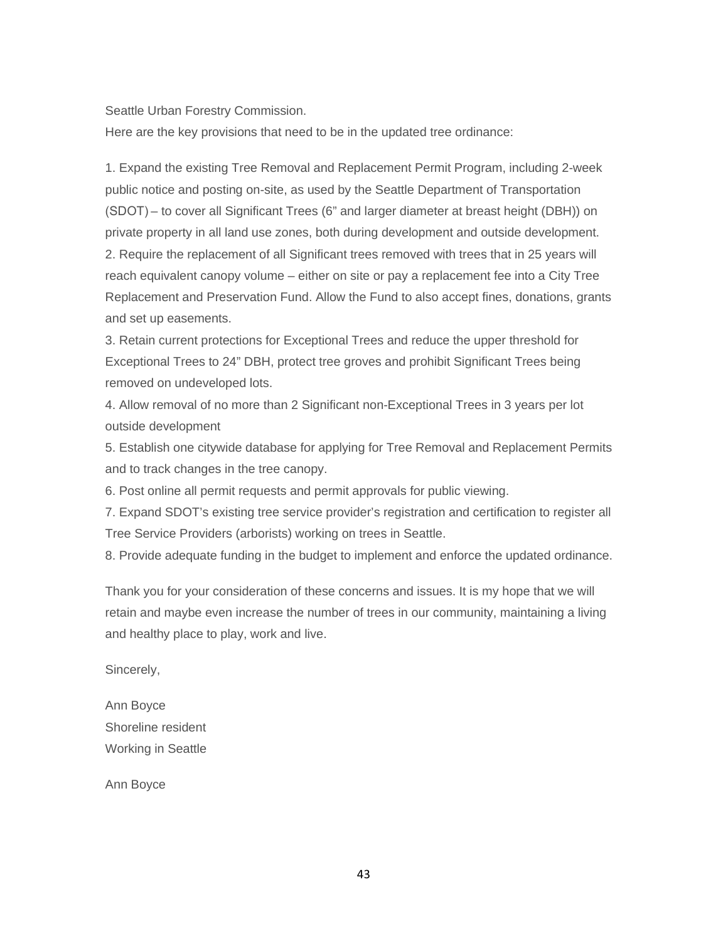# Seattle Urban Forestry Commission.

Here are the key provisions that need to be in the updated tree ordinance:

1. Expand the existing Tree Removal and Replacement Permit Program, including 2-week public notice and posting on-site, as used by the Seattle Department of Transportation (SDOT) – to cover all Significant Trees (6" and larger diameter at breast height (DBH)) on private property in all land use zones, both during development and outside development. 2. Require the replacement of all Significant trees removed with trees that in 25 years will reach equivalent canopy volume – either on site or pay a replacement fee into a City Tree Replacement and Preservation Fund. Allow the Fund to also accept fines, donations, grants and set up easements.

3. Retain current protections for Exceptional Trees and reduce the upper threshold for Exceptional Trees to 24" DBH, protect tree groves and prohibit Significant Trees being removed on undeveloped lots.

4. Allow removal of no more than 2 Significant non-Exceptional Trees in 3 years per lot outside development

5. Establish one citywide database for applying for Tree Removal and Replacement Permits and to track changes in the tree canopy.

6. Post online all permit requests and permit approvals for public viewing.

7. Expand SDOT's existing tree service provider's registration and certification to register all Tree Service Providers (arborists) working on trees in Seattle.

8. Provide adequate funding in the budget to implement and enforce the updated ordinance.

Thank you for your consideration of these concerns and issues. It is my hope that we will retain and maybe even increase the number of trees in our community, maintaining a living and healthy place to play, work and live.

Sincerely,

Ann Boyce Shoreline resident Working in Seattle

Ann Boyce